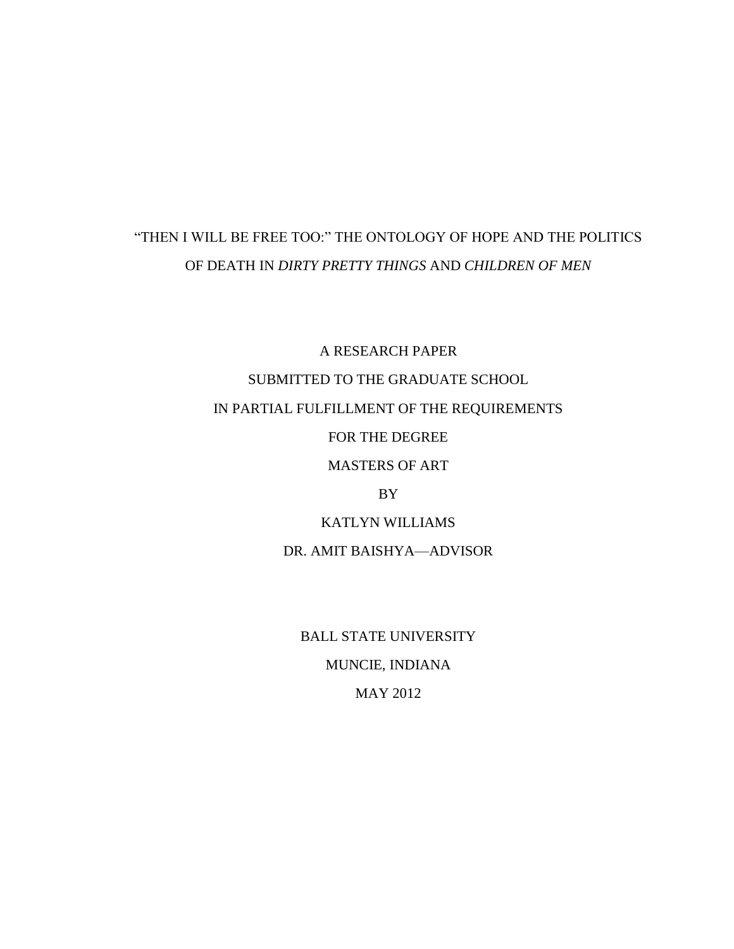## "THEN I WILL BE FREE TOO:" THE ONTOLOGY OF HOPE AND THE POLITICS OF DEATH IN *DIRTY PRETTY THINGS* AND *CHILDREN OF MEN*

A RESEARCH PAPER SUBMITTED TO THE GRADUATE SCHOOL IN PARTIAL FULFILLMENT OF THE REQUIREMENTS FOR THE DEGREE MASTERS OF ART BY KATLYN WILLIAMS DR. AMIT BAISHYA—ADVISOR

> BALL STATE UNIVERSITY MUNCIE, INDIANA MAY 2012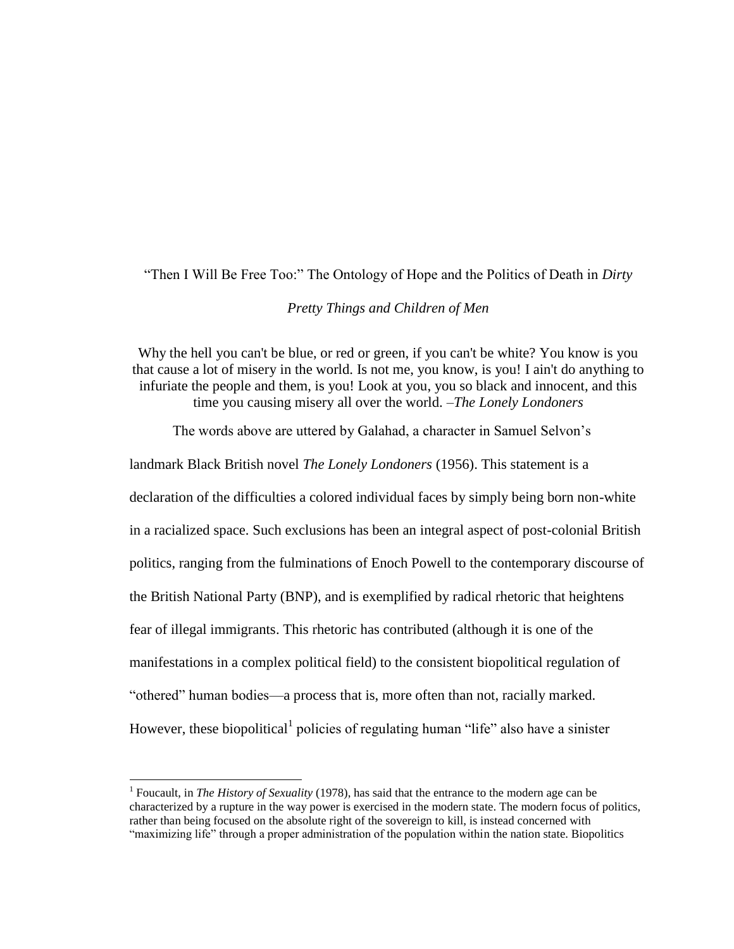"Then I Will Be Free Too:" The Ontology of Hope and the Politics of Death in *Dirty* 

### *Pretty Things and Children of Men*

Why the hell you can't be blue, or red or green, if you can't be white? You know is you that cause a lot of misery in the world. Is not me, you know, is you! I ain't do anything to infuriate the people and them, is you! Look at you, you so black and innocent, and this time you causing misery all over the world. –*The Lonely Londoners*

The words above are uttered by Galahad, a character in Samuel Selvon's

landmark Black British novel *The Lonely Londoners* (1956). This statement is a declaration of the difficulties a colored individual faces by simply being born non-white in a racialized space. Such exclusions has been an integral aspect of post-colonial British politics, ranging from the fulminations of Enoch Powell to the contemporary discourse of the British National Party (BNP), and is exemplified by radical rhetoric that heightens fear of illegal immigrants. This rhetoric has contributed (although it is one of the manifestations in a complex political field) to the consistent biopolitical regulation of "othered" human bodies—a process that is, more often than not, racially marked. However, these biopolitical<sup>1</sup> policies of regulating human "life" also have a sinister

<sup>&</sup>lt;sup>1</sup> Foucault, in *The History of Sexuality* (1978), has said that the entrance to the modern age can be characterized by a rupture in the way power is exercised in the modern state. The modern focus of politics, rather than being focused on the absolute right of the sovereign to kill, is instead concerned with "maximizing life" through a proper administration of the population within the nation state. Biopolitics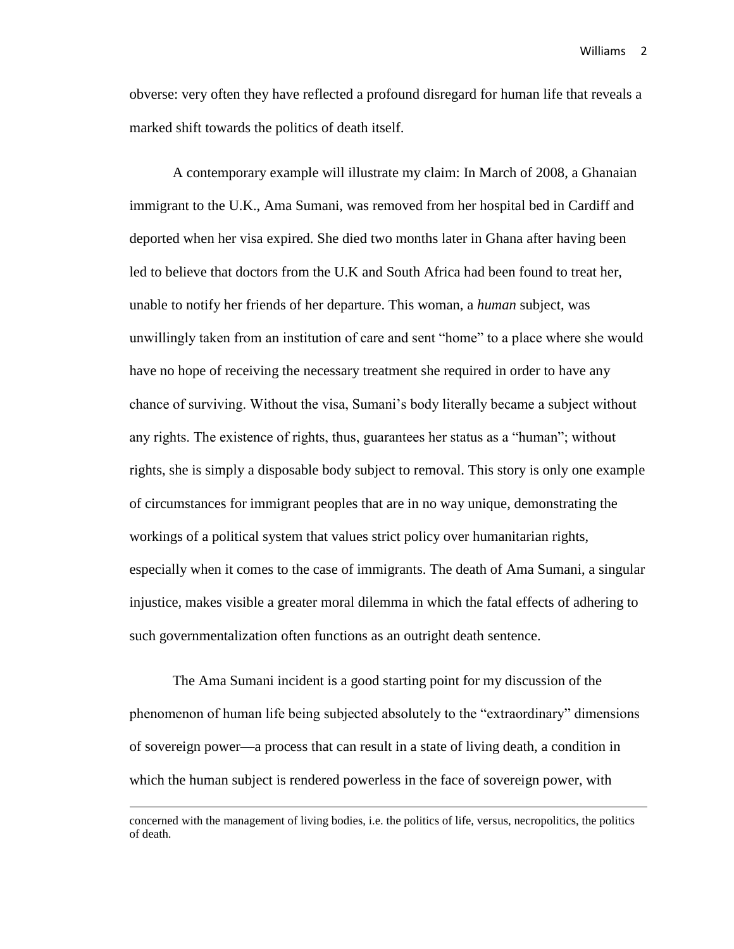obverse: very often they have reflected a profound disregard for human life that reveals a marked shift towards the politics of death itself.

A contemporary example will illustrate my claim: In March of 2008, a Ghanaian immigrant to the U.K., Ama Sumani, was removed from her hospital bed in Cardiff and deported when her visa expired. She died two months later in Ghana after having been led to believe that doctors from the U.K and South Africa had been found to treat her, unable to notify her friends of her departure. This woman, a *human* subject, was unwillingly taken from an institution of care and sent "home" to a place where she would have no hope of receiving the necessary treatment she required in order to have any chance of surviving. Without the visa, Sumani's body literally became a subject without any rights. The existence of rights, thus, guarantees her status as a "human"; without rights, she is simply a disposable body subject to removal. This story is only one example of circumstances for immigrant peoples that are in no way unique, demonstrating the workings of a political system that values strict policy over humanitarian rights, especially when it comes to the case of immigrants. The death of Ama Sumani, a singular injustice, makes visible a greater moral dilemma in which the fatal effects of adhering to such governmentalization often functions as an outright death sentence.

The Ama Sumani incident is a good starting point for my discussion of the phenomenon of human life being subjected absolutely to the "extraordinary" dimensions of sovereign power—a process that can result in a state of living death, a condition in which the human subject is rendered powerless in the face of sovereign power, with

concerned with the management of living bodies, i.e. the politics of life, versus, necropolitics, the politics of death.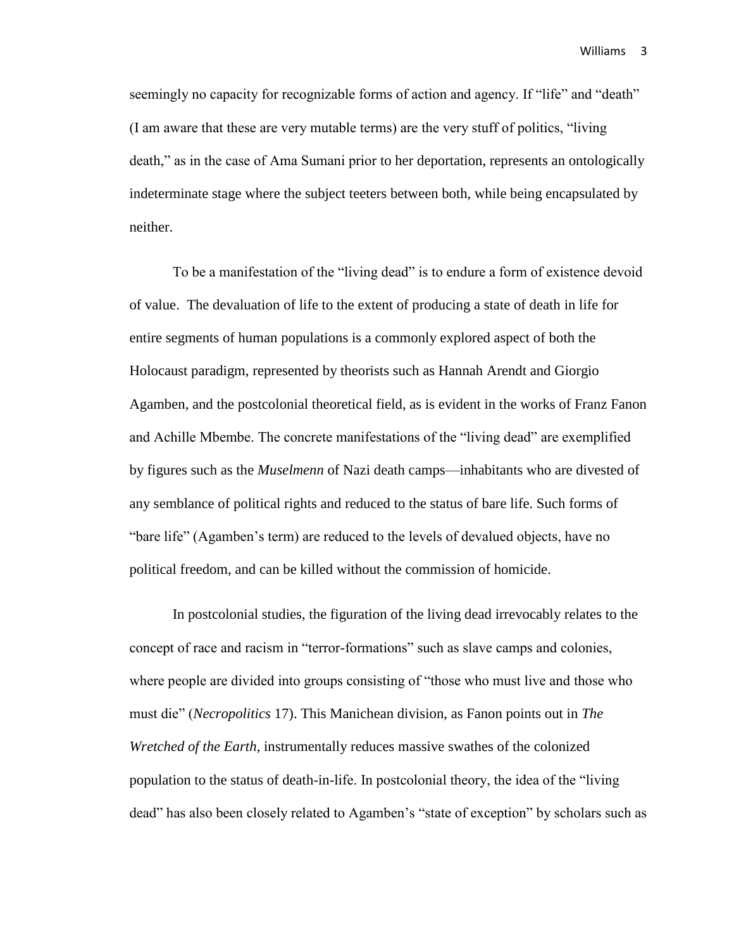seemingly no capacity for recognizable forms of action and agency. If "life" and "death" (I am aware that these are very mutable terms) are the very stuff of politics, "living death," as in the case of Ama Sumani prior to her deportation, represents an ontologically indeterminate stage where the subject teeters between both, while being encapsulated by neither.

To be a manifestation of the "living dead" is to endure a form of existence devoid of value. The devaluation of life to the extent of producing a state of death in life for entire segments of human populations is a commonly explored aspect of both the Holocaust paradigm, represented by theorists such as Hannah Arendt and Giorgio Agamben, and the postcolonial theoretical field, as is evident in the works of Franz Fanon and Achille Mbembe. The concrete manifestations of the "living dead" are exemplified by figures such as the *Muselmenn* of Nazi death camps—inhabitants who are divested of any semblance of political rights and reduced to the status of bare life. Such forms of "bare life" (Agamben's term) are reduced to the levels of devalued objects, have no political freedom, and can be killed without the commission of homicide.

In postcolonial studies, the figuration of the living dead irrevocably relates to the concept of race and racism in "terror-formations" such as slave camps and colonies, where people are divided into groups consisting of "those who must live and those who must die" (*Necropolitics* 17). This Manichean division, as Fanon points out in *The Wretched of the Earth*, instrumentally reduces massive swathes of the colonized population to the status of death-in-life. In postcolonial theory, the idea of the "living dead" has also been closely related to Agamben's "state of exception" by scholars such as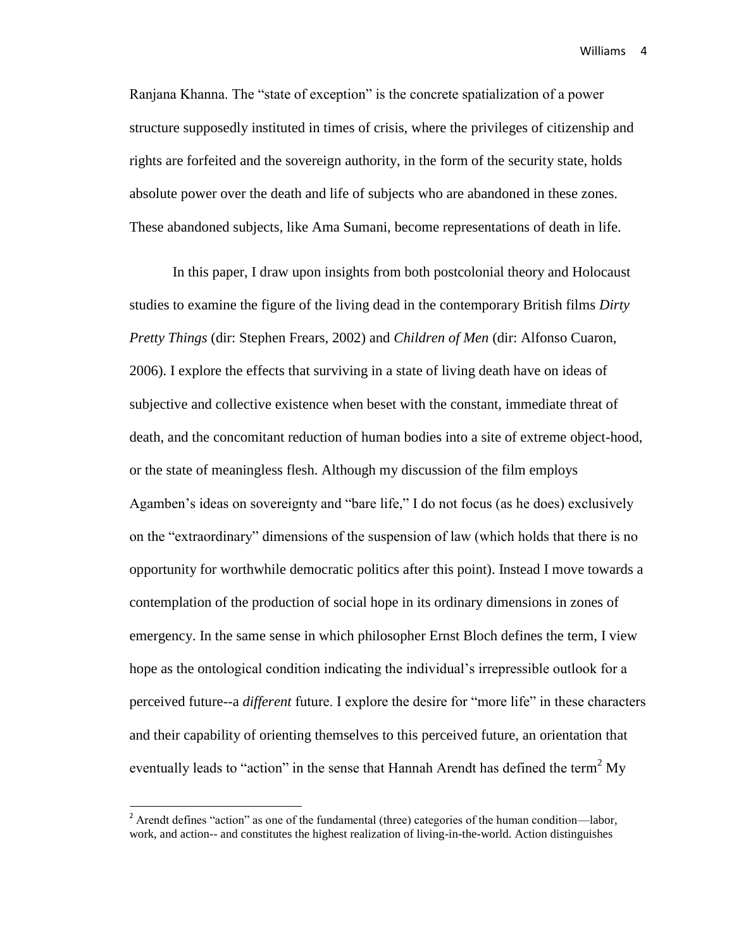Ranjana Khanna. The "state of exception" is the concrete spatialization of a power structure supposedly instituted in times of crisis, where the privileges of citizenship and rights are forfeited and the sovereign authority, in the form of the security state, holds absolute power over the death and life of subjects who are abandoned in these zones. These abandoned subjects, like Ama Sumani, become representations of death in life.

In this paper, I draw upon insights from both postcolonial theory and Holocaust studies to examine the figure of the living dead in the contemporary British films *Dirty Pretty Things* (dir: Stephen Frears, 2002) and *Children of Men* (dir: Alfonso Cuaron, 2006). I explore the effects that surviving in a state of living death have on ideas of subjective and collective existence when beset with the constant, immediate threat of death, and the concomitant reduction of human bodies into a site of extreme object-hood, or the state of meaningless flesh. Although my discussion of the film employs Agamben's ideas on sovereignty and "bare life," I do not focus (as he does) exclusively on the "extraordinary" dimensions of the suspension of law (which holds that there is no opportunity for worthwhile democratic politics after this point). Instead I move towards a contemplation of the production of social hope in its ordinary dimensions in zones of emergency. In the same sense in which philosopher Ernst Bloch defines the term, I view hope as the ontological condition indicating the individual's irrepressible outlook for a perceived future--a *different* future. I explore the desire for "more life" in these characters and their capability of orienting themselves to this perceived future, an orientation that eventually leads to "action" in the sense that Hannah Arendt has defined the term<sup>2</sup> My

l

 $2^2$  Arendt defines "action" as one of the fundamental (three) categories of the human condition—labor, work, and action-- and constitutes the highest realization of living-in-the-world. Action distinguishes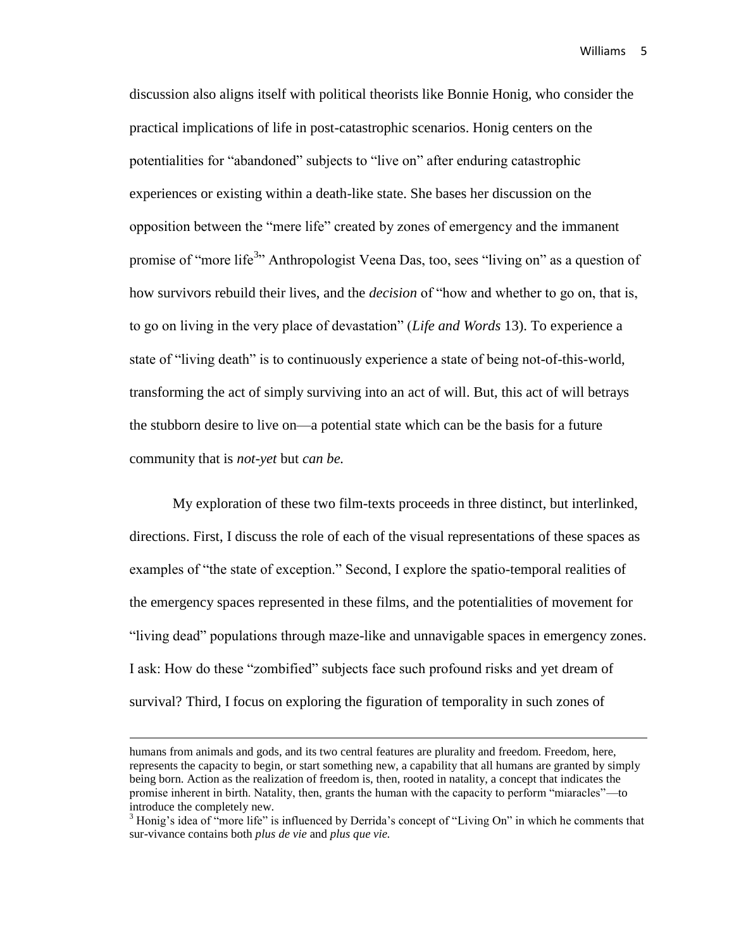discussion also aligns itself with political theorists like Bonnie Honig, who consider the practical implications of life in post-catastrophic scenarios. Honig centers on the potentialities for "abandoned" subjects to "live on" after enduring catastrophic experiences or existing within a death-like state. She bases her discussion on the opposition between the "mere life" created by zones of emergency and the immanent promise of "more life<sup>3</sup>" Anthropologist Veena Das, too, sees "living on" as a question of how survivors rebuild their lives, and the *decision* of "how and whether to go on, that is, to go on living in the very place of devastation" (*Life and Words* 13). To experience a state of "living death" is to continuously experience a state of being not-of-this-world, transforming the act of simply surviving into an act of will. But, this act of will betrays the stubborn desire to live on—a potential state which can be the basis for a future community that is *not-yet* but *can be.*

My exploration of these two film-texts proceeds in three distinct, but interlinked, directions. First, I discuss the role of each of the visual representations of these spaces as examples of "the state of exception." Second, I explore the spatio-temporal realities of the emergency spaces represented in these films, and the potentialities of movement for "living dead" populations through maze-like and unnavigable spaces in emergency zones. I ask: How do these "zombified" subjects face such profound risks and yet dream of survival? Third, I focus on exploring the figuration of temporality in such zones of

humans from animals and gods, and its two central features are plurality and freedom. Freedom, here, represents the capacity to begin, or start something new, a capability that all humans are granted by simply being born. Action as the realization of freedom is, then, rooted in natality, a concept that indicates the promise inherent in birth. Natality, then, grants the human with the capacity to perform "miaracles"—to introduce the completely new.

 $3$  Honig's idea of "more life" is influenced by Derrida's concept of "Living On" in which he comments that sur-vivance contains both *plus de vie* and *plus que vie.*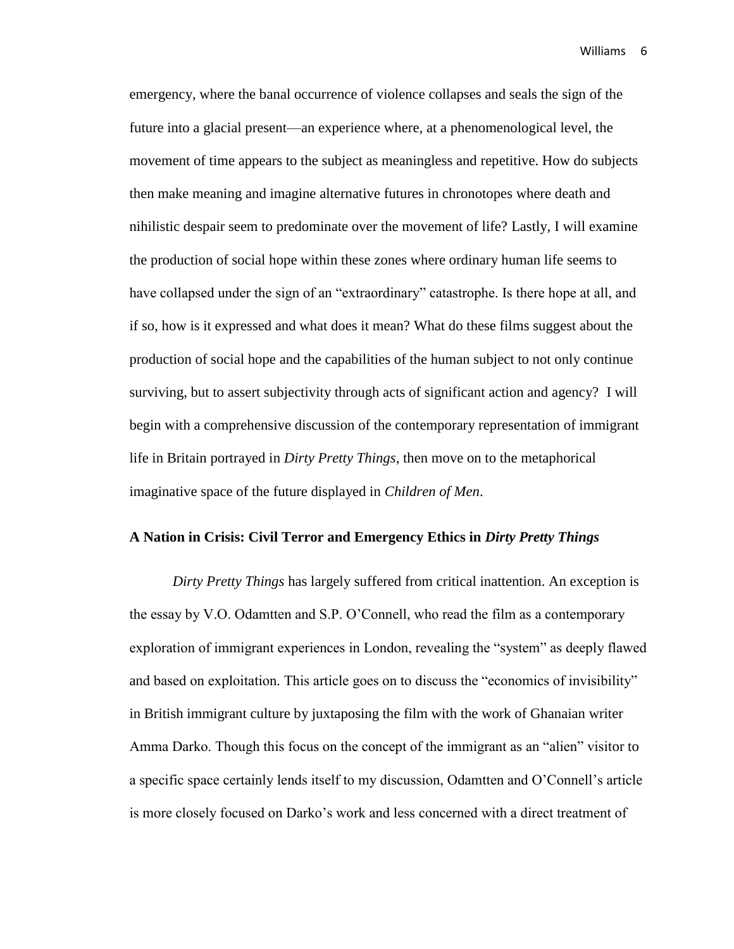emergency, where the banal occurrence of violence collapses and seals the sign of the future into a glacial present—an experience where, at a phenomenological level, the movement of time appears to the subject as meaningless and repetitive. How do subjects then make meaning and imagine alternative futures in chronotopes where death and nihilistic despair seem to predominate over the movement of life? Lastly, I will examine the production of social hope within these zones where ordinary human life seems to have collapsed under the sign of an "extraordinary" catastrophe. Is there hope at all, and if so, how is it expressed and what does it mean? What do these films suggest about the production of social hope and the capabilities of the human subject to not only continue surviving, but to assert subjectivity through acts of significant action and agency? I will begin with a comprehensive discussion of the contemporary representation of immigrant life in Britain portrayed in *Dirty Pretty Things*, then move on to the metaphorical imaginative space of the future displayed in *Children of Men*.

#### **A Nation in Crisis: Civil Terror and Emergency Ethics in** *Dirty Pretty Things*

*Dirty Pretty Things* has largely suffered from critical inattention. An exception is the essay by V.O. Odamtten and S.P. O'Connell, who read the film as a contemporary exploration of immigrant experiences in London, revealing the "system" as deeply flawed and based on exploitation. This article goes on to discuss the "economics of invisibility" in British immigrant culture by juxtaposing the film with the work of Ghanaian writer Amma Darko. Though this focus on the concept of the immigrant as an "alien" visitor to a specific space certainly lends itself to my discussion, Odamtten and O'Connell's article is more closely focused on Darko's work and less concerned with a direct treatment of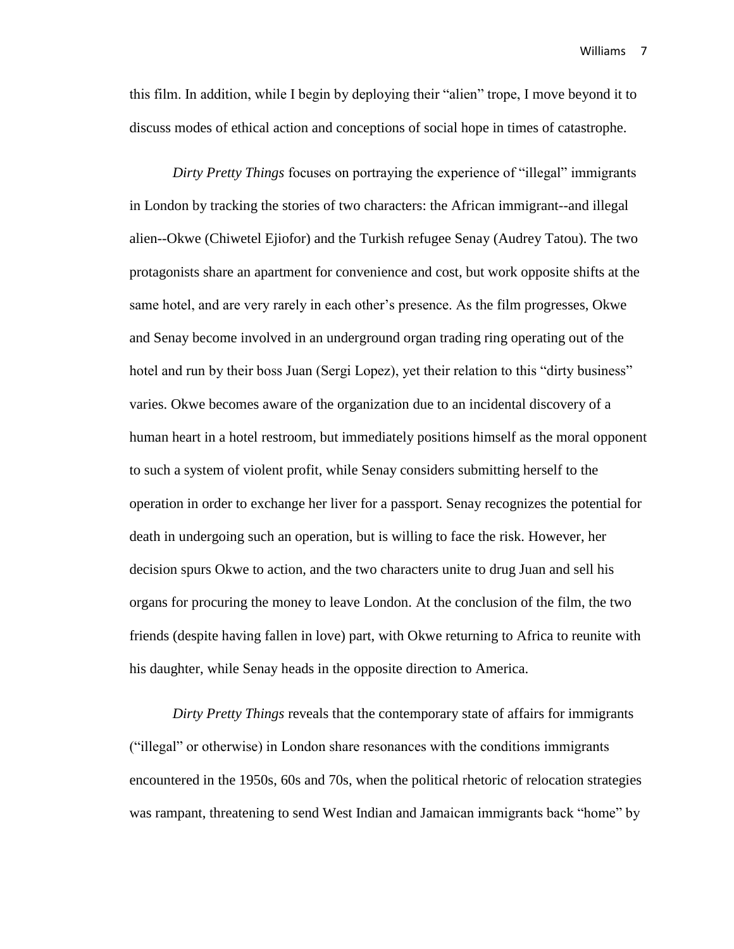this film. In addition, while I begin by deploying their "alien" trope, I move beyond it to discuss modes of ethical action and conceptions of social hope in times of catastrophe.

*Dirty Pretty Things* focuses on portraying the experience of "illegal" immigrants in London by tracking the stories of two characters: the African immigrant--and illegal alien--Okwe (Chiwetel Ejiofor) and the Turkish refugee Senay (Audrey Tatou). The two protagonists share an apartment for convenience and cost, but work opposite shifts at the same hotel, and are very rarely in each other's presence. As the film progresses, Okwe and Senay become involved in an underground organ trading ring operating out of the hotel and run by their boss Juan (Sergi Lopez), yet their relation to this "dirty business" varies. Okwe becomes aware of the organization due to an incidental discovery of a human heart in a hotel restroom, but immediately positions himself as the moral opponent to such a system of violent profit, while Senay considers submitting herself to the operation in order to exchange her liver for a passport. Senay recognizes the potential for death in undergoing such an operation, but is willing to face the risk. However, her decision spurs Okwe to action, and the two characters unite to drug Juan and sell his organs for procuring the money to leave London. At the conclusion of the film, the two friends (despite having fallen in love) part, with Okwe returning to Africa to reunite with his daughter, while Senay heads in the opposite direction to America.

*Dirty Pretty Things* reveals that the contemporary state of affairs for immigrants ("illegal" or otherwise) in London share resonances with the conditions immigrants encountered in the 1950s, 60s and 70s, when the political rhetoric of relocation strategies was rampant, threatening to send West Indian and Jamaican immigrants back "home" by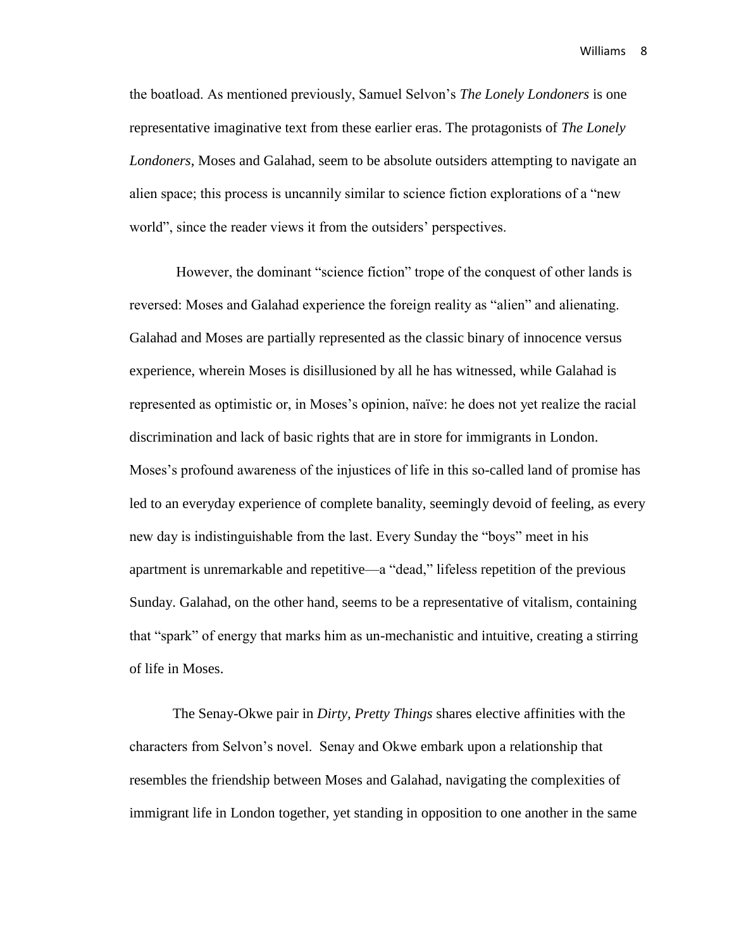the boatload. As mentioned previously, Samuel Selvon's *The Lonely Londoners* is one representative imaginative text from these earlier eras. The protagonists of *The Lonely Londoners*, Moses and Galahad, seem to be absolute outsiders attempting to navigate an alien space; this process is uncannily similar to science fiction explorations of a "new world", since the reader views it from the outsiders' perspectives.

However, the dominant "science fiction" trope of the conquest of other lands is reversed: Moses and Galahad experience the foreign reality as "alien" and alienating. Galahad and Moses are partially represented as the classic binary of innocence versus experience, wherein Moses is disillusioned by all he has witnessed, while Galahad is represented as optimistic or, in Moses's opinion, naïve: he does not yet realize the racial discrimination and lack of basic rights that are in store for immigrants in London. Moses's profound awareness of the injustices of life in this so-called land of promise has led to an everyday experience of complete banality, seemingly devoid of feeling, as every new day is indistinguishable from the last. Every Sunday the "boys" meet in his apartment is unremarkable and repetitive—a "dead," lifeless repetition of the previous Sunday. Galahad, on the other hand, seems to be a representative of vitalism, containing that "spark" of energy that marks him as un-mechanistic and intuitive, creating a stirring of life in Moses.

The Senay-Okwe pair in *Dirty, Pretty Things* shares elective affinities with the characters from Selvon's novel. Senay and Okwe embark upon a relationship that resembles the friendship between Moses and Galahad, navigating the complexities of immigrant life in London together, yet standing in opposition to one another in the same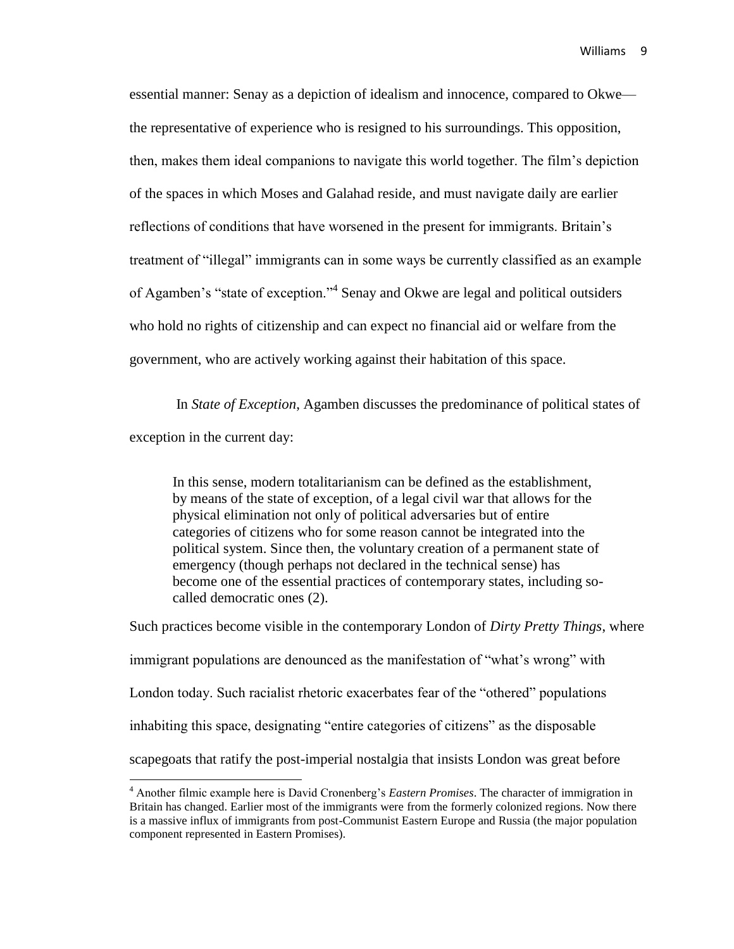essential manner: Senay as a depiction of idealism and innocence, compared to Okwe the representative of experience who is resigned to his surroundings. This opposition, then, makes them ideal companions to navigate this world together. The film's depiction of the spaces in which Moses and Galahad reside, and must navigate daily are earlier reflections of conditions that have worsened in the present for immigrants. Britain's treatment of "illegal" immigrants can in some ways be currently classified as an example of Agamben's "state of exception."<sup>4</sup> Senay and Okwe are legal and political outsiders who hold no rights of citizenship and can expect no financial aid or welfare from the government, who are actively working against their habitation of this space.

In *State of Exception*, Agamben discusses the predominance of political states of exception in the current day:

In this sense, modern totalitarianism can be defined as the establishment, by means of the state of exception, of a legal civil war that allows for the physical elimination not only of political adversaries but of entire categories of citizens who for some reason cannot be integrated into the political system. Since then, the voluntary creation of a permanent state of emergency (though perhaps not declared in the technical sense) has become one of the essential practices of contemporary states, including socalled democratic ones (2).

Such practices become visible in the contemporary London of *Dirty Pretty Things*, where immigrant populations are denounced as the manifestation of "what's wrong" with London today. Such racialist rhetoric exacerbates fear of the "othered" populations inhabiting this space, designating "entire categories of citizens" as the disposable scapegoats that ratify the post-imperial nostalgia that insists London was great before

<sup>4</sup> Another filmic example here is David Cronenberg's *Eastern Promises*. The character of immigration in Britain has changed. Earlier most of the immigrants were from the formerly colonized regions. Now there is a massive influx of immigrants from post-Communist Eastern Europe and Russia (the major population component represented in Eastern Promises).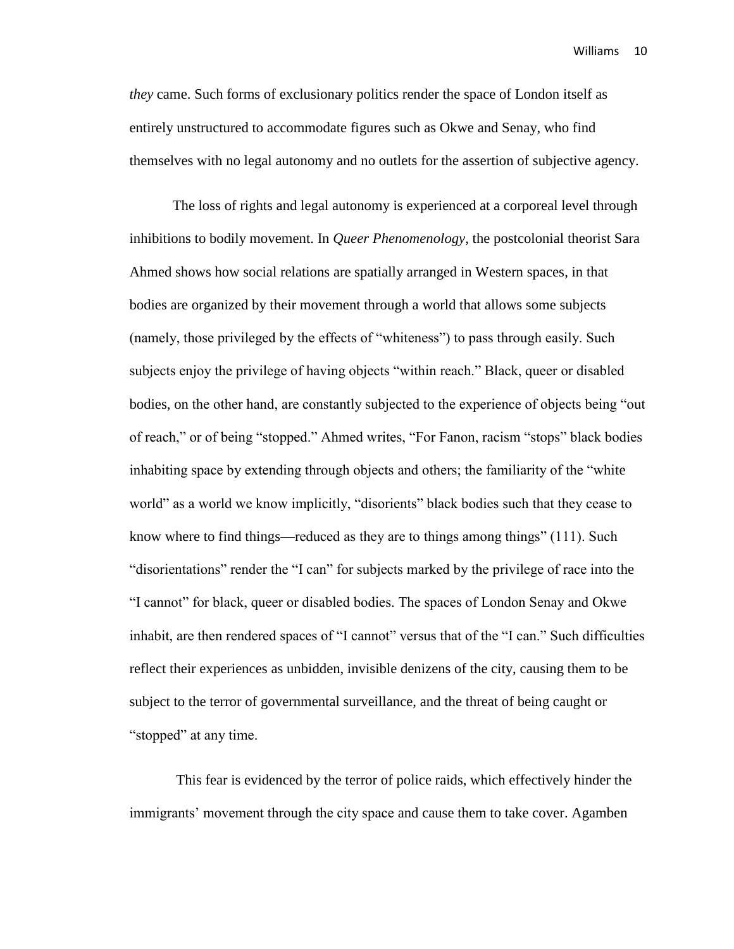*they* came. Such forms of exclusionary politics render the space of London itself as entirely unstructured to accommodate figures such as Okwe and Senay, who find themselves with no legal autonomy and no outlets for the assertion of subjective agency.

The loss of rights and legal autonomy is experienced at a corporeal level through inhibitions to bodily movement. In *Queer Phenomenology*, the postcolonial theorist Sara Ahmed shows how social relations are spatially arranged in Western spaces, in that bodies are organized by their movement through a world that allows some subjects (namely, those privileged by the effects of "whiteness") to pass through easily. Such subjects enjoy the privilege of having objects "within reach." Black, queer or disabled bodies, on the other hand, are constantly subjected to the experience of objects being "out of reach," or of being "stopped." Ahmed writes, "For Fanon, racism "stops" black bodies inhabiting space by extending through objects and others; the familiarity of the "white world" as a world we know implicitly, "disorients" black bodies such that they cease to know where to find things—reduced as they are to things among things" (111). Such "disorientations" render the "I can" for subjects marked by the privilege of race into the "I cannot" for black, queer or disabled bodies. The spaces of London Senay and Okwe inhabit, are then rendered spaces of "I cannot" versus that of the "I can." Such difficulties reflect their experiences as unbidden, invisible denizens of the city, causing them to be subject to the terror of governmental surveillance, and the threat of being caught or "stopped" at any time.

This fear is evidenced by the terror of police raids, which effectively hinder the immigrants' movement through the city space and cause them to take cover. Agamben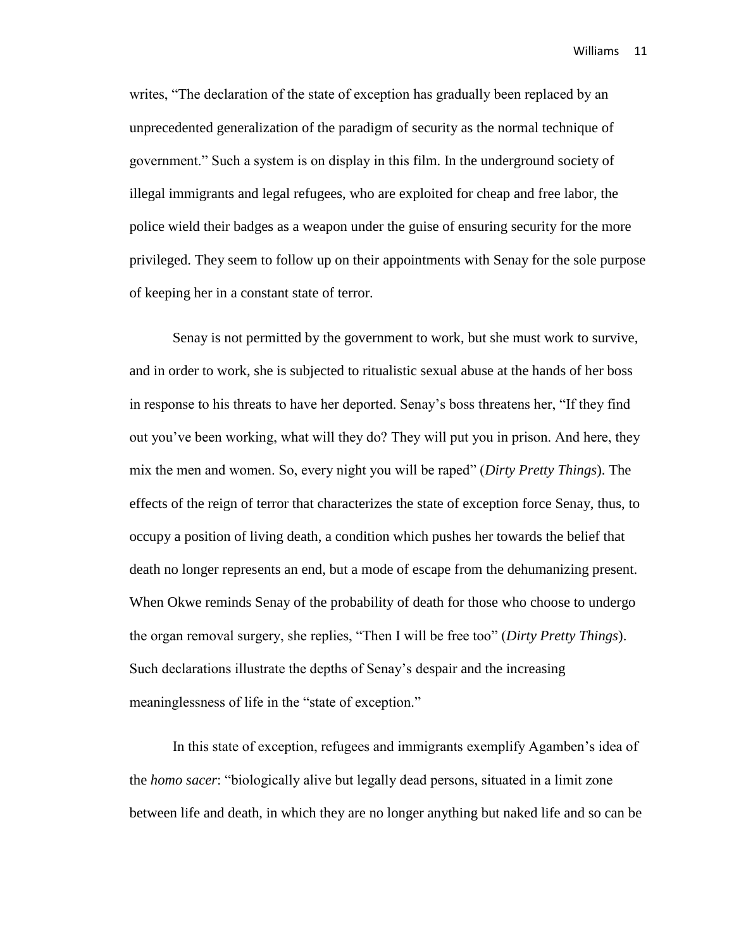writes, "The declaration of the state of exception has gradually been replaced by an unprecedented generalization of the paradigm of security as the normal technique of government." Such a system is on display in this film. In the underground society of illegal immigrants and legal refugees, who are exploited for cheap and free labor, the police wield their badges as a weapon under the guise of ensuring security for the more privileged. They seem to follow up on their appointments with Senay for the sole purpose of keeping her in a constant state of terror.

Senay is not permitted by the government to work, but she must work to survive, and in order to work, she is subjected to ritualistic sexual abuse at the hands of her boss in response to his threats to have her deported. Senay's boss threatens her, "If they find out you've been working, what will they do? They will put you in prison. And here, they mix the men and women. So, every night you will be raped" (*Dirty Pretty Things*). The effects of the reign of terror that characterizes the state of exception force Senay, thus, to occupy a position of living death, a condition which pushes her towards the belief that death no longer represents an end, but a mode of escape from the dehumanizing present. When Okwe reminds Senay of the probability of death for those who choose to undergo the organ removal surgery, she replies, "Then I will be free too" (*Dirty Pretty Things*). Such declarations illustrate the depths of Senay's despair and the increasing meaninglessness of life in the "state of exception."

In this state of exception, refugees and immigrants exemplify Agamben's idea of the *homo sacer*: "biologically alive but legally dead persons, situated in a limit zone between life and death, in which they are no longer anything but naked life and so can be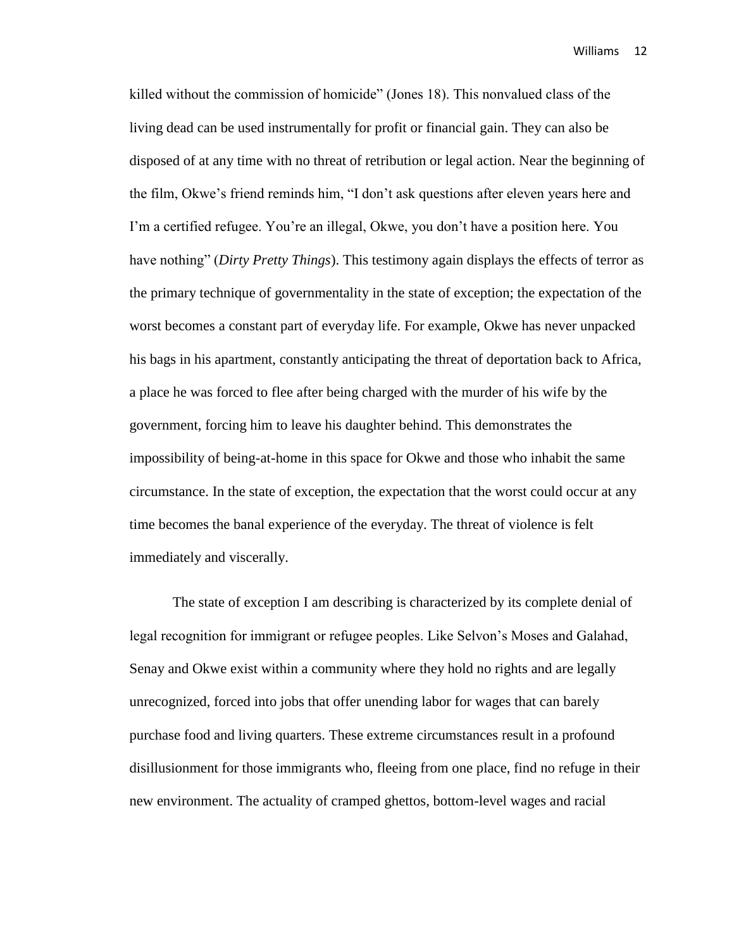killed without the commission of homicide" (Jones 18). This nonvalued class of the living dead can be used instrumentally for profit or financial gain. They can also be disposed of at any time with no threat of retribution or legal action. Near the beginning of the film, Okwe's friend reminds him, "I don't ask questions after eleven years here and I'm a certified refugee. You're an illegal, Okwe, you don't have a position here. You have nothing" (*Dirty Pretty Things*). This testimony again displays the effects of terror as the primary technique of governmentality in the state of exception; the expectation of the worst becomes a constant part of everyday life. For example, Okwe has never unpacked his bags in his apartment, constantly anticipating the threat of deportation back to Africa, a place he was forced to flee after being charged with the murder of his wife by the government, forcing him to leave his daughter behind. This demonstrates the impossibility of being-at-home in this space for Okwe and those who inhabit the same circumstance. In the state of exception, the expectation that the worst could occur at any time becomes the banal experience of the everyday. The threat of violence is felt immediately and viscerally.

The state of exception I am describing is characterized by its complete denial of legal recognition for immigrant or refugee peoples. Like Selvon's Moses and Galahad, Senay and Okwe exist within a community where they hold no rights and are legally unrecognized, forced into jobs that offer unending labor for wages that can barely purchase food and living quarters. These extreme circumstances result in a profound disillusionment for those immigrants who, fleeing from one place, find no refuge in their new environment. The actuality of cramped ghettos, bottom-level wages and racial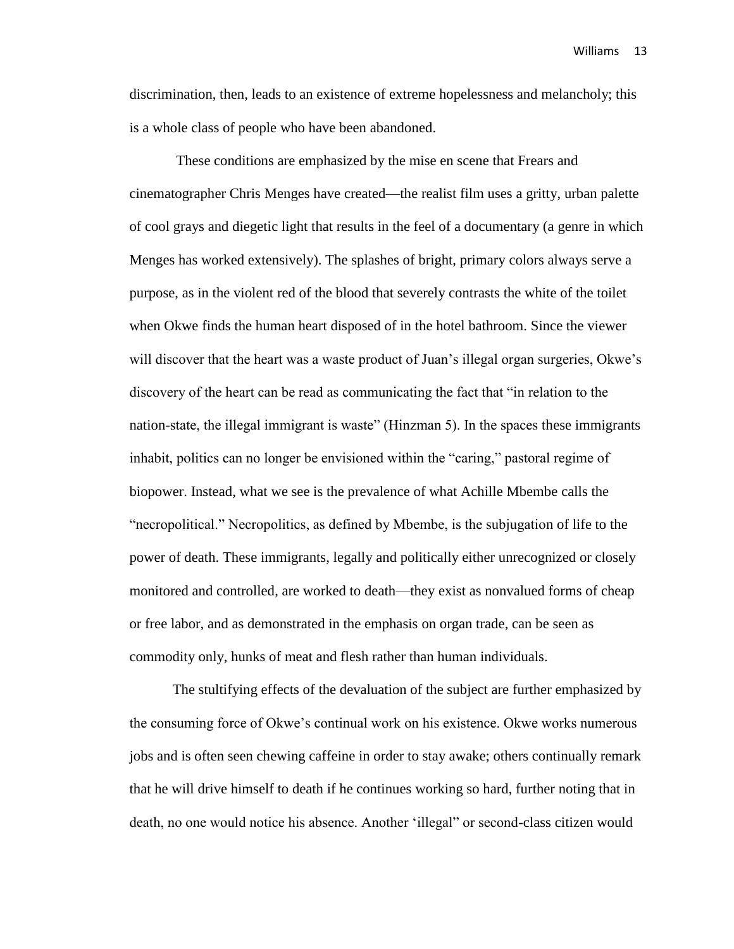discrimination, then, leads to an existence of extreme hopelessness and melancholy; this is a whole class of people who have been abandoned.

These conditions are emphasized by the mise en scene that Frears and cinematographer Chris Menges have created—the realist film uses a gritty, urban palette of cool grays and diegetic light that results in the feel of a documentary (a genre in which Menges has worked extensively). The splashes of bright, primary colors always serve a purpose, as in the violent red of the blood that severely contrasts the white of the toilet when Okwe finds the human heart disposed of in the hotel bathroom. Since the viewer will discover that the heart was a waste product of Juan's illegal organ surgeries, Okwe's discovery of the heart can be read as communicating the fact that "in relation to the nation-state, the illegal immigrant is waste" (Hinzman 5). In the spaces these immigrants inhabit, politics can no longer be envisioned within the "caring," pastoral regime of biopower. Instead, what we see is the prevalence of what Achille Mbembe calls the "necropolitical." Necropolitics, as defined by Mbembe, is the subjugation of life to the power of death. These immigrants, legally and politically either unrecognized or closely monitored and controlled, are worked to death—they exist as nonvalued forms of cheap or free labor, and as demonstrated in the emphasis on organ trade, can be seen as commodity only, hunks of meat and flesh rather than human individuals.

The stultifying effects of the devaluation of the subject are further emphasized by the consuming force of Okwe's continual work on his existence. Okwe works numerous jobs and is often seen chewing caffeine in order to stay awake; others continually remark that he will drive himself to death if he continues working so hard, further noting that in death, no one would notice his absence. Another 'illegal" or second-class citizen would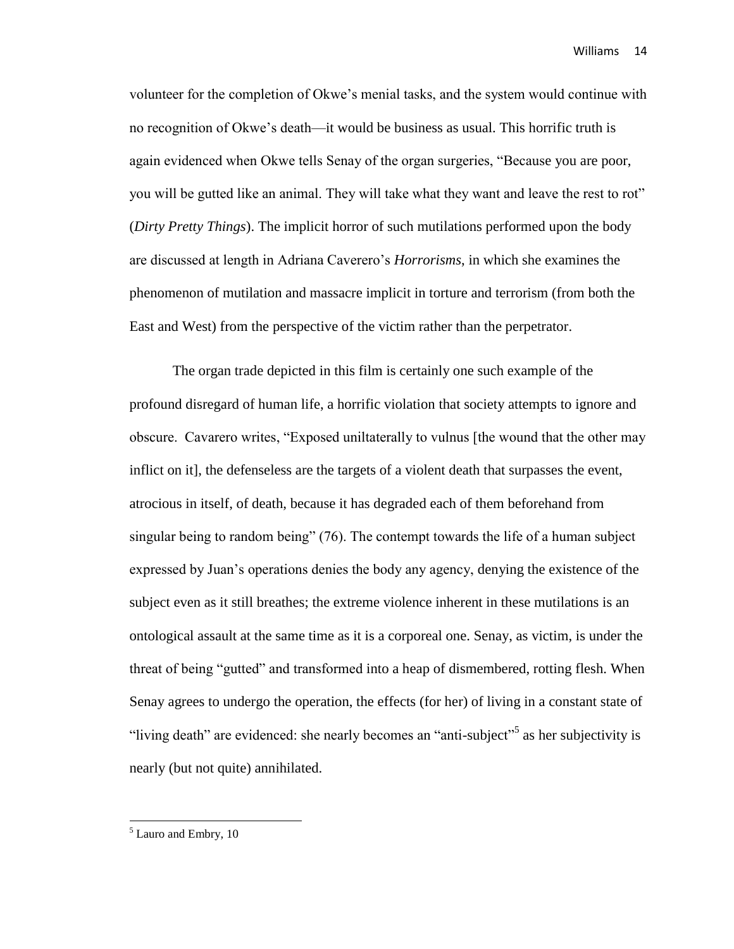volunteer for the completion of Okwe's menial tasks, and the system would continue with no recognition of Okwe's death—it would be business as usual. This horrific truth is again evidenced when Okwe tells Senay of the organ surgeries, "Because you are poor, you will be gutted like an animal. They will take what they want and leave the rest to rot" (*Dirty Pretty Things*). The implicit horror of such mutilations performed upon the body are discussed at length in Adriana Caverero's *Horrorisms*, in which she examines the phenomenon of mutilation and massacre implicit in torture and terrorism (from both the East and West) from the perspective of the victim rather than the perpetrator.

The organ trade depicted in this film is certainly one such example of the profound disregard of human life, a horrific violation that society attempts to ignore and obscure. Cavarero writes, "Exposed uniltaterally to vulnus [the wound that the other may inflict on it], the defenseless are the targets of a violent death that surpasses the event, atrocious in itself, of death, because it has degraded each of them beforehand from singular being to random being" (76). The contempt towards the life of a human subject expressed by Juan's operations denies the body any agency, denying the existence of the subject even as it still breathes; the extreme violence inherent in these mutilations is an ontological assault at the same time as it is a corporeal one. Senay, as victim, is under the threat of being "gutted" and transformed into a heap of dismembered, rotting flesh. When Senay agrees to undergo the operation, the effects (for her) of living in a constant state of "living death" are evidenced: she nearly becomes an "anti-subject"<sup>5</sup> as her subjectivity is nearly (but not quite) annihilated.

<sup>&</sup>lt;sup>5</sup> Lauro and Embry, 10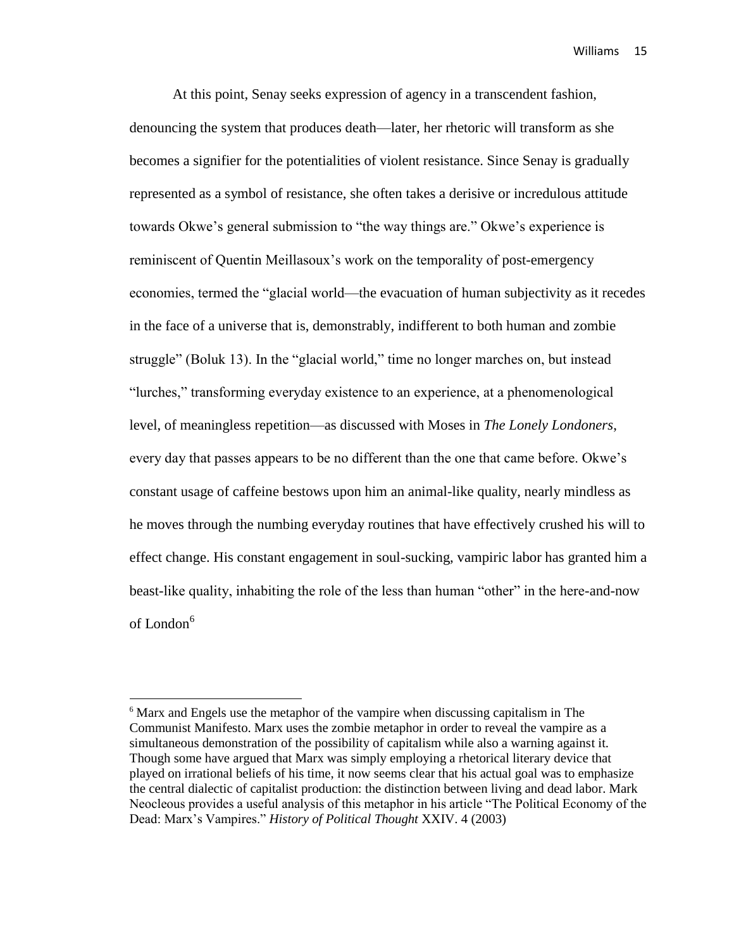At this point, Senay seeks expression of agency in a transcendent fashion, denouncing the system that produces death—later, her rhetoric will transform as she becomes a signifier for the potentialities of violent resistance. Since Senay is gradually represented as a symbol of resistance, she often takes a derisive or incredulous attitude towards Okwe's general submission to "the way things are." Okwe's experience is reminiscent of Quentin Meillasoux's work on the temporality of post-emergency economies, termed the "glacial world—the evacuation of human subjectivity as it recedes in the face of a universe that is, demonstrably, indifferent to both human and zombie struggle" (Boluk 13). In the "glacial world," time no longer marches on, but instead "lurches," transforming everyday existence to an experience, at a phenomenological level, of meaningless repetition—as discussed with Moses in *The Lonely Londoners*, every day that passes appears to be no different than the one that came before. Okwe's constant usage of caffeine bestows upon him an animal-like quality, nearly mindless as he moves through the numbing everyday routines that have effectively crushed his will to effect change. His constant engagement in soul-sucking, vampiric labor has granted him a beast-like quality, inhabiting the role of the less than human "other" in the here-and-now of London<sup>6</sup>

<sup>6</sup> Marx and Engels use the metaphor of the vampire when discussing capitalism in The Communist Manifesto. Marx uses the zombie metaphor in order to reveal the vampire as a simultaneous demonstration of the possibility of capitalism while also a warning against it. Though some have argued that Marx was simply employing a rhetorical literary device that played on irrational beliefs of his time, it now seems clear that his actual goal was to emphasize the central dialectic of capitalist production: the distinction between living and dead labor. Mark Neocleous provides a useful analysis of this metaphor in his article "The Political Economy of the Dead: Marx's Vampires." *History of Political Thought* XXIV. 4 (2003)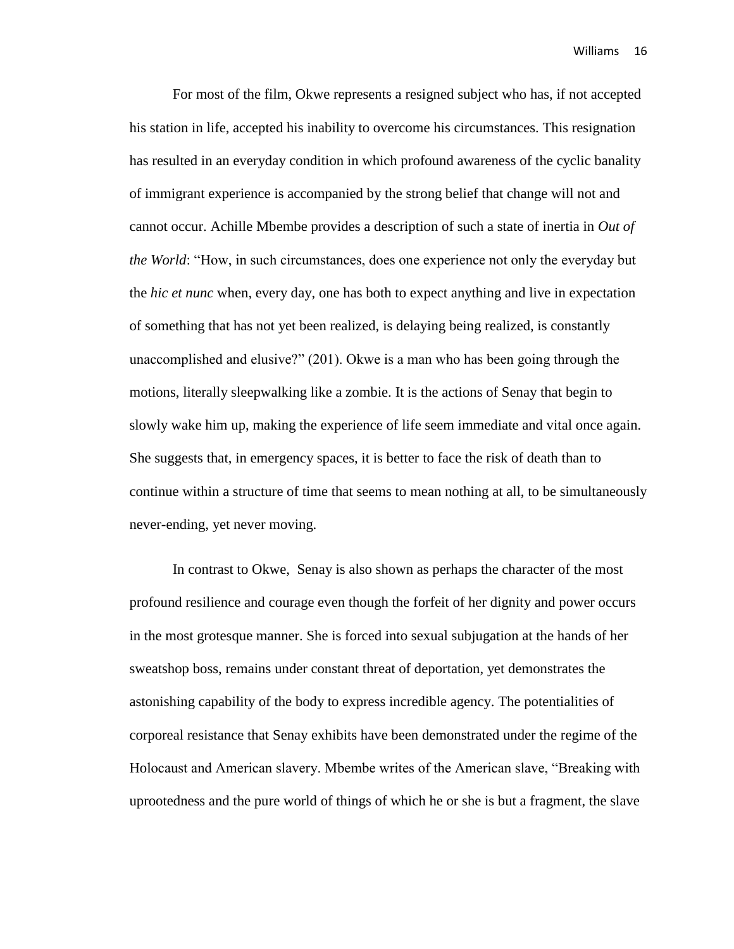For most of the film, Okwe represents a resigned subject who has, if not accepted his station in life, accepted his inability to overcome his circumstances. This resignation has resulted in an everyday condition in which profound awareness of the cyclic banality of immigrant experience is accompanied by the strong belief that change will not and cannot occur. Achille Mbembe provides a description of such a state of inertia in *Out of the World*: "How, in such circumstances, does one experience not only the everyday but the *hic et nunc* when, every day, one has both to expect anything and live in expectation of something that has not yet been realized, is delaying being realized, is constantly unaccomplished and elusive?" (201). Okwe is a man who has been going through the motions, literally sleepwalking like a zombie. It is the actions of Senay that begin to slowly wake him up, making the experience of life seem immediate and vital once again. She suggests that, in emergency spaces, it is better to face the risk of death than to continue within a structure of time that seems to mean nothing at all, to be simultaneously never-ending, yet never moving.

In contrast to Okwe, Senay is also shown as perhaps the character of the most profound resilience and courage even though the forfeit of her dignity and power occurs in the most grotesque manner. She is forced into sexual subjugation at the hands of her sweatshop boss, remains under constant threat of deportation, yet demonstrates the astonishing capability of the body to express incredible agency. The potentialities of corporeal resistance that Senay exhibits have been demonstrated under the regime of the Holocaust and American slavery. Mbembe writes of the American slave, "Breaking with uprootedness and the pure world of things of which he or she is but a fragment, the slave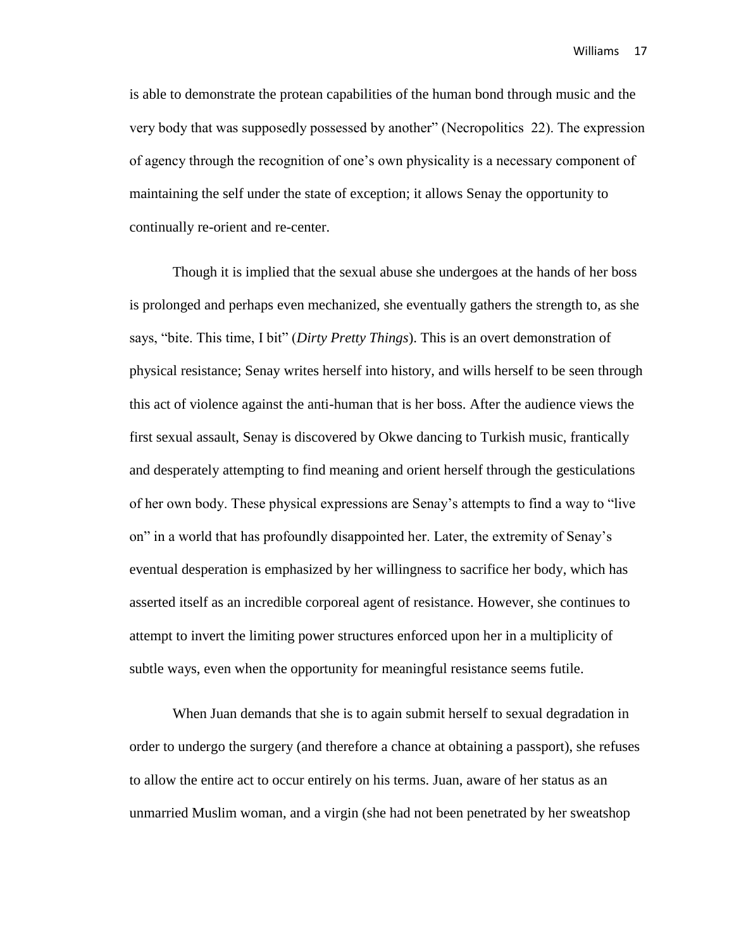is able to demonstrate the protean capabilities of the human bond through music and the very body that was supposedly possessed by another" (Necropolitics 22). The expression of agency through the recognition of one's own physicality is a necessary component of maintaining the self under the state of exception; it allows Senay the opportunity to continually re-orient and re-center.

Though it is implied that the sexual abuse she undergoes at the hands of her boss is prolonged and perhaps even mechanized, she eventually gathers the strength to, as she says, "bite. This time, I bit" (*Dirty Pretty Things*). This is an overt demonstration of physical resistance; Senay writes herself into history, and wills herself to be seen through this act of violence against the anti-human that is her boss. After the audience views the first sexual assault, Senay is discovered by Okwe dancing to Turkish music, frantically and desperately attempting to find meaning and orient herself through the gesticulations of her own body. These physical expressions are Senay's attempts to find a way to "live on" in a world that has profoundly disappointed her. Later, the extremity of Senay's eventual desperation is emphasized by her willingness to sacrifice her body, which has asserted itself as an incredible corporeal agent of resistance. However, she continues to attempt to invert the limiting power structures enforced upon her in a multiplicity of subtle ways, even when the opportunity for meaningful resistance seems futile.

When Juan demands that she is to again submit herself to sexual degradation in order to undergo the surgery (and therefore a chance at obtaining a passport), she refuses to allow the entire act to occur entirely on his terms. Juan, aware of her status as an unmarried Muslim woman, and a virgin (she had not been penetrated by her sweatshop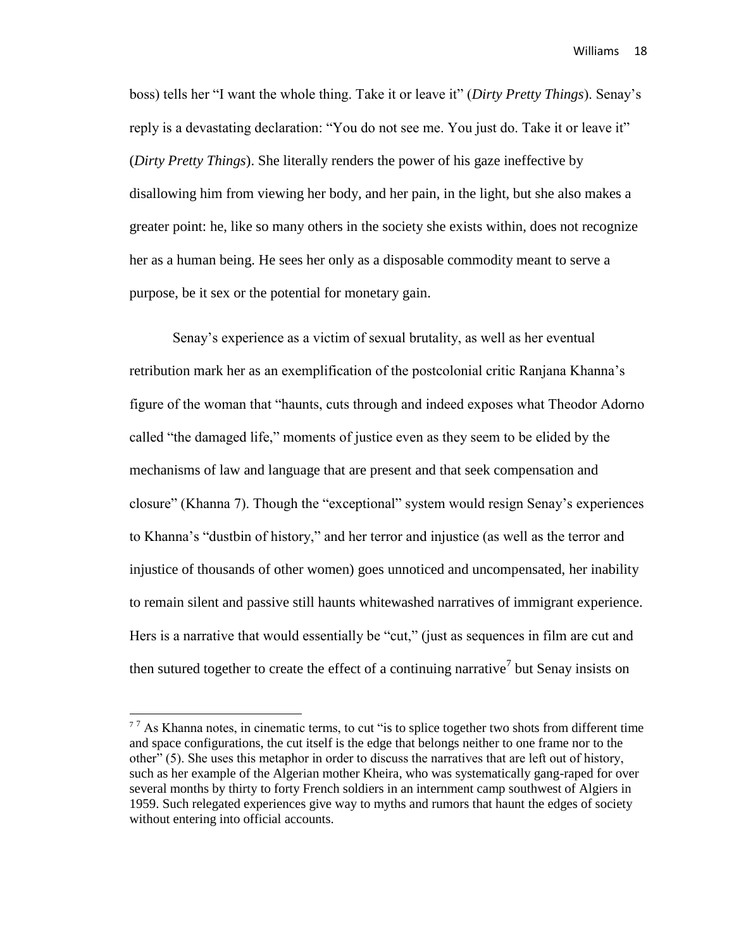boss) tells her "I want the whole thing. Take it or leave it" (*Dirty Pretty Things*). Senay's reply is a devastating declaration: "You do not see me. You just do. Take it or leave it" (*Dirty Pretty Things*). She literally renders the power of his gaze ineffective by disallowing him from viewing her body, and her pain, in the light, but she also makes a greater point: he, like so many others in the society she exists within, does not recognize her as a human being. He sees her only as a disposable commodity meant to serve a purpose, be it sex or the potential for monetary gain.

Senay's experience as a victim of sexual brutality, as well as her eventual retribution mark her as an exemplification of the postcolonial critic Ranjana Khanna's figure of the woman that "haunts, cuts through and indeed exposes what Theodor Adorno called "the damaged life," moments of justice even as they seem to be elided by the mechanisms of law and language that are present and that seek compensation and closure" (Khanna 7). Though the "exceptional" system would resign Senay's experiences to Khanna's "dustbin of history," and her terror and injustice (as well as the terror and injustice of thousands of other women) goes unnoticed and uncompensated, her inability to remain silent and passive still haunts whitewashed narratives of immigrant experience. Hers is a narrative that would essentially be "cut," (just as sequences in film are cut and then sutured together to create the effect of a continuing narrative<sup>7</sup> but Senay insists on

<sup>&</sup>lt;sup>77</sup> As Khanna notes, in cinematic terms, to cut "is to splice together two shots from different time and space configurations, the cut itself is the edge that belongs neither to one frame nor to the other" (5). She uses this metaphor in order to discuss the narratives that are left out of history, such as her example of the Algerian mother Kheira, who was systematically gang-raped for over several months by thirty to forty French soldiers in an internment camp southwest of Algiers in 1959. Such relegated experiences give way to myths and rumors that haunt the edges of society without entering into official accounts.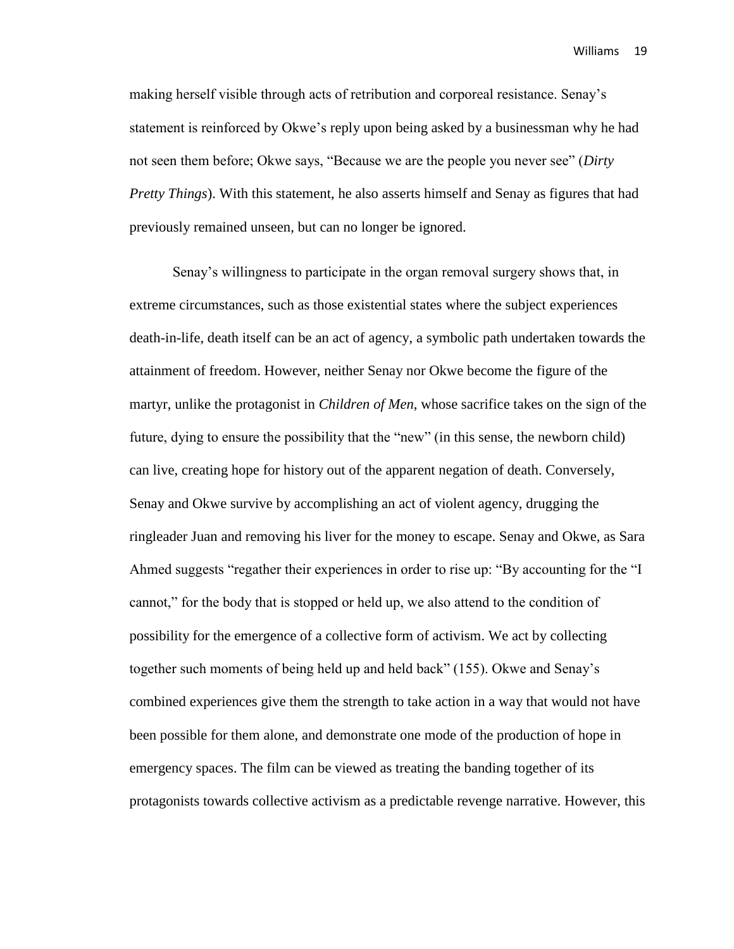making herself visible through acts of retribution and corporeal resistance. Senay's statement is reinforced by Okwe's reply upon being asked by a businessman why he had not seen them before; Okwe says, "Because we are the people you never see" (*Dirty Pretty Things*). With this statement, he also asserts himself and Senay as figures that had previously remained unseen, but can no longer be ignored.

Senay's willingness to participate in the organ removal surgery shows that, in extreme circumstances, such as those existential states where the subject experiences death-in-life, death itself can be an act of agency, a symbolic path undertaken towards the attainment of freedom. However, neither Senay nor Okwe become the figure of the martyr, unlike the protagonist in *Children of Men*, whose sacrifice takes on the sign of the future, dying to ensure the possibility that the "new" (in this sense, the newborn child) can live, creating hope for history out of the apparent negation of death. Conversely, Senay and Okwe survive by accomplishing an act of violent agency, drugging the ringleader Juan and removing his liver for the money to escape. Senay and Okwe, as Sara Ahmed suggests "regather their experiences in order to rise up: "By accounting for the "I cannot," for the body that is stopped or held up, we also attend to the condition of possibility for the emergence of a collective form of activism. We act by collecting together such moments of being held up and held back" (155). Okwe and Senay's combined experiences give them the strength to take action in a way that would not have been possible for them alone, and demonstrate one mode of the production of hope in emergency spaces. The film can be viewed as treating the banding together of its protagonists towards collective activism as a predictable revenge narrative. However, this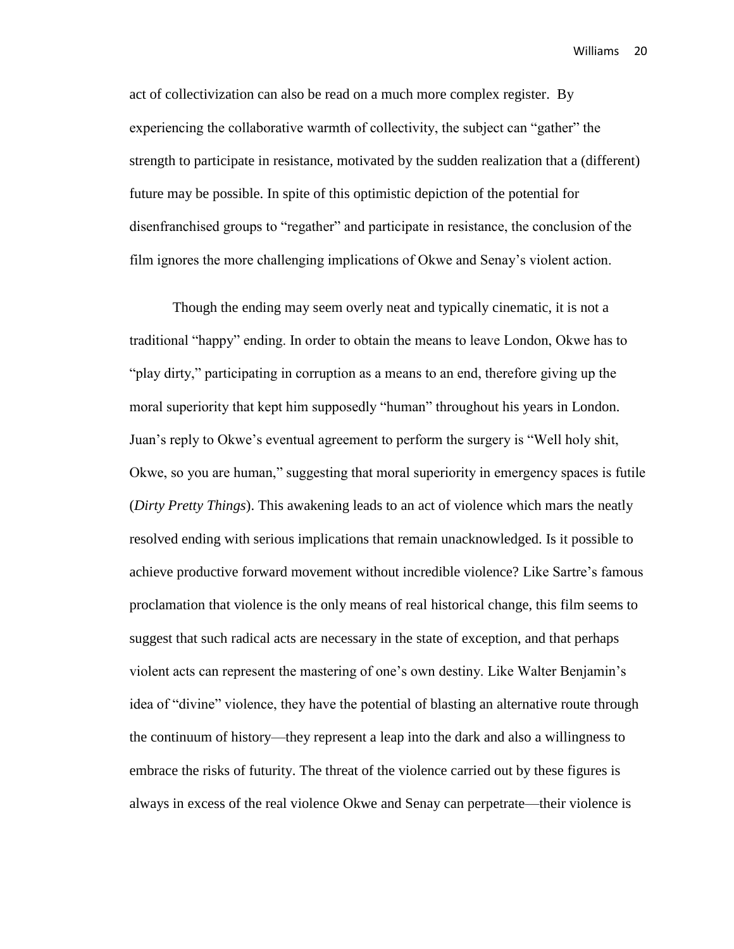act of collectivization can also be read on a much more complex register. By experiencing the collaborative warmth of collectivity, the subject can "gather" the strength to participate in resistance, motivated by the sudden realization that a (different) future may be possible. In spite of this optimistic depiction of the potential for disenfranchised groups to "regather" and participate in resistance, the conclusion of the film ignores the more challenging implications of Okwe and Senay's violent action.

Though the ending may seem overly neat and typically cinematic, it is not a traditional "happy" ending. In order to obtain the means to leave London, Okwe has to "play dirty," participating in corruption as a means to an end, therefore giving up the moral superiority that kept him supposedly "human" throughout his years in London. Juan's reply to Okwe's eventual agreement to perform the surgery is "Well holy shit, Okwe, so you are human," suggesting that moral superiority in emergency spaces is futile (*Dirty Pretty Things*). This awakening leads to an act of violence which mars the neatly resolved ending with serious implications that remain unacknowledged. Is it possible to achieve productive forward movement without incredible violence? Like Sartre's famous proclamation that violence is the only means of real historical change, this film seems to suggest that such radical acts are necessary in the state of exception, and that perhaps violent acts can represent the mastering of one's own destiny. Like Walter Benjamin's idea of "divine" violence, they have the potential of blasting an alternative route through the continuum of history—they represent a leap into the dark and also a willingness to embrace the risks of futurity. The threat of the violence carried out by these figures is always in excess of the real violence Okwe and Senay can perpetrate—their violence is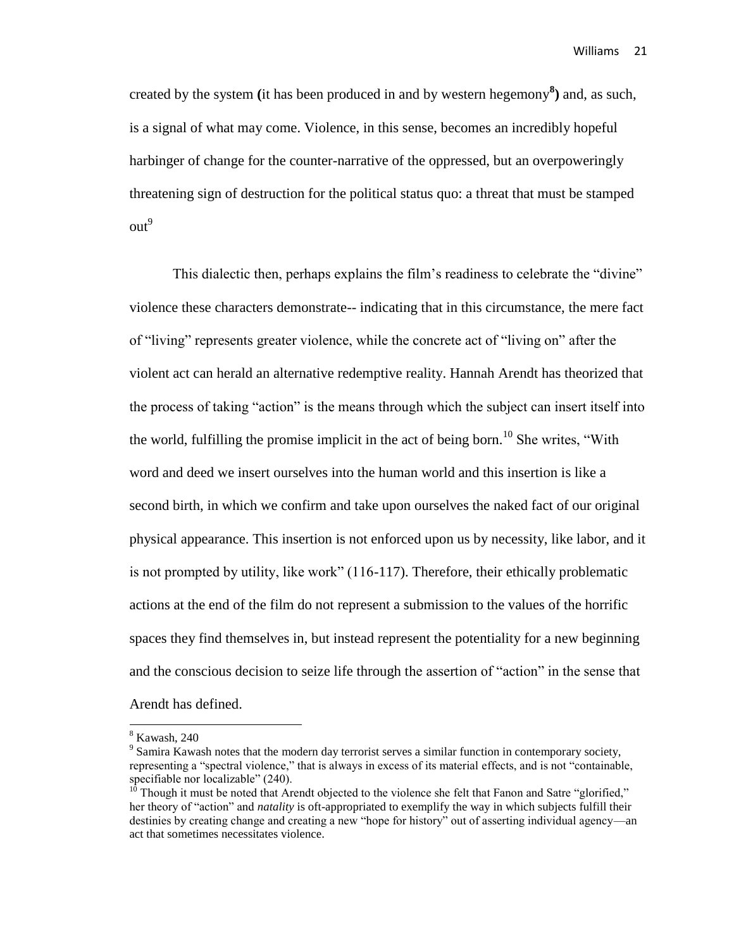created by the system **(**it has been produced in and by western hegemony**<sup>8</sup> )** and, as such, is a signal of what may come. Violence, in this sense, becomes an incredibly hopeful harbinger of change for the counter-narrative of the oppressed, but an overpoweringly threatening sign of destruction for the political status quo: a threat that must be stamped  $out<sup>9</sup>$ 

This dialectic then, perhaps explains the film's readiness to celebrate the "divine" violence these characters demonstrate-- indicating that in this circumstance, the mere fact of "living" represents greater violence, while the concrete act of "living on" after the violent act can herald an alternative redemptive reality. Hannah Arendt has theorized that the process of taking "action" is the means through which the subject can insert itself into the world, fulfilling the promise implicit in the act of being born. <sup>10</sup> She writes, "With word and deed we insert ourselves into the human world and this insertion is like a second birth, in which we confirm and take upon ourselves the naked fact of our original physical appearance. This insertion is not enforced upon us by necessity, like labor, and it is not prompted by utility, like work" (116-117). Therefore, their ethically problematic actions at the end of the film do not represent a submission to the values of the horrific spaces they find themselves in, but instead represent the potentiality for a new beginning and the conscious decision to seize life through the assertion of "action" in the sense that Arendt has defined.

 $\overline{a}$ 

 $8$  Kawash, 240

 $9^9$  Samira Kawash notes that the modern day terrorist serves a similar function in contemporary society, representing a "spectral violence," that is always in excess of its material effects, and is not "containable, specifiable nor localizable" (240).

 $10$ <sup>0</sup> Though it must be noted that Arendt objected to the violence she felt that Fanon and Satre "glorified," her theory of "action" and *natality* is oft-appropriated to exemplify the way in which subjects fulfill their destinies by creating change and creating a new "hope for history" out of asserting individual agency—an act that sometimes necessitates violence.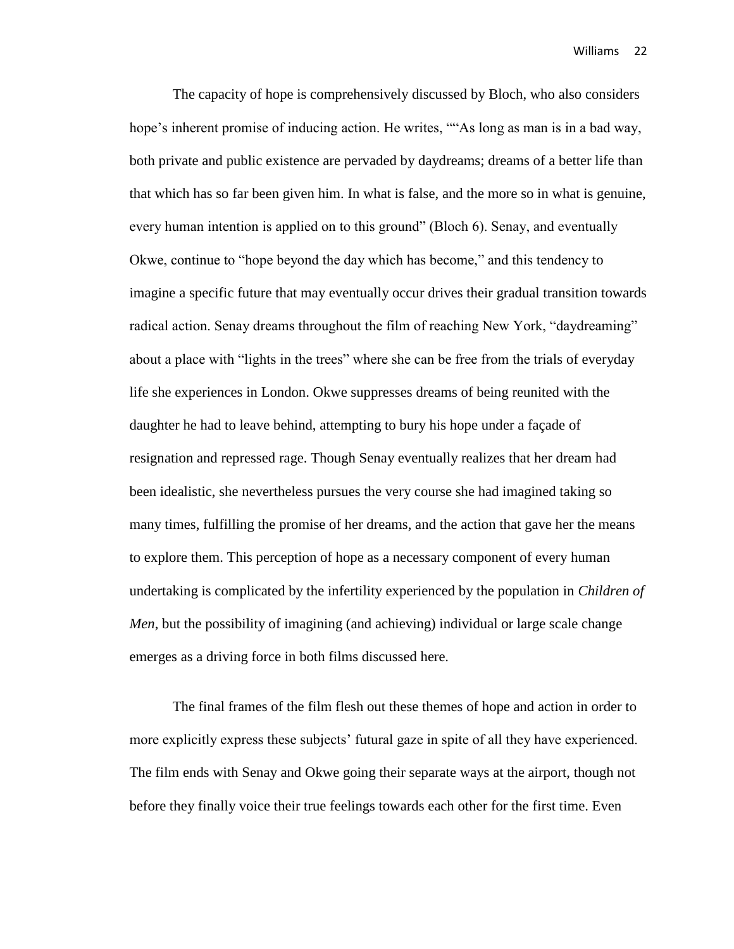The capacity of hope is comprehensively discussed by Bloch, who also considers hope's inherent promise of inducing action. He writes, ""As long as man is in a bad way, both private and public existence are pervaded by daydreams; dreams of a better life than that which has so far been given him. In what is false, and the more so in what is genuine, every human intention is applied on to this ground" (Bloch 6). Senay, and eventually Okwe, continue to "hope beyond the day which has become," and this tendency to imagine a specific future that may eventually occur drives their gradual transition towards radical action. Senay dreams throughout the film of reaching New York, "daydreaming" about a place with "lights in the trees" where she can be free from the trials of everyday life she experiences in London. Okwe suppresses dreams of being reunited with the daughter he had to leave behind, attempting to bury his hope under a façade of resignation and repressed rage. Though Senay eventually realizes that her dream had been idealistic, she nevertheless pursues the very course she had imagined taking so many times, fulfilling the promise of her dreams, and the action that gave her the means to explore them. This perception of hope as a necessary component of every human undertaking is complicated by the infertility experienced by the population in *Children of Men*, but the possibility of imagining (and achieving) individual or large scale change emerges as a driving force in both films discussed here.

The final frames of the film flesh out these themes of hope and action in order to more explicitly express these subjects' futural gaze in spite of all they have experienced. The film ends with Senay and Okwe going their separate ways at the airport, though not before they finally voice their true feelings towards each other for the first time. Even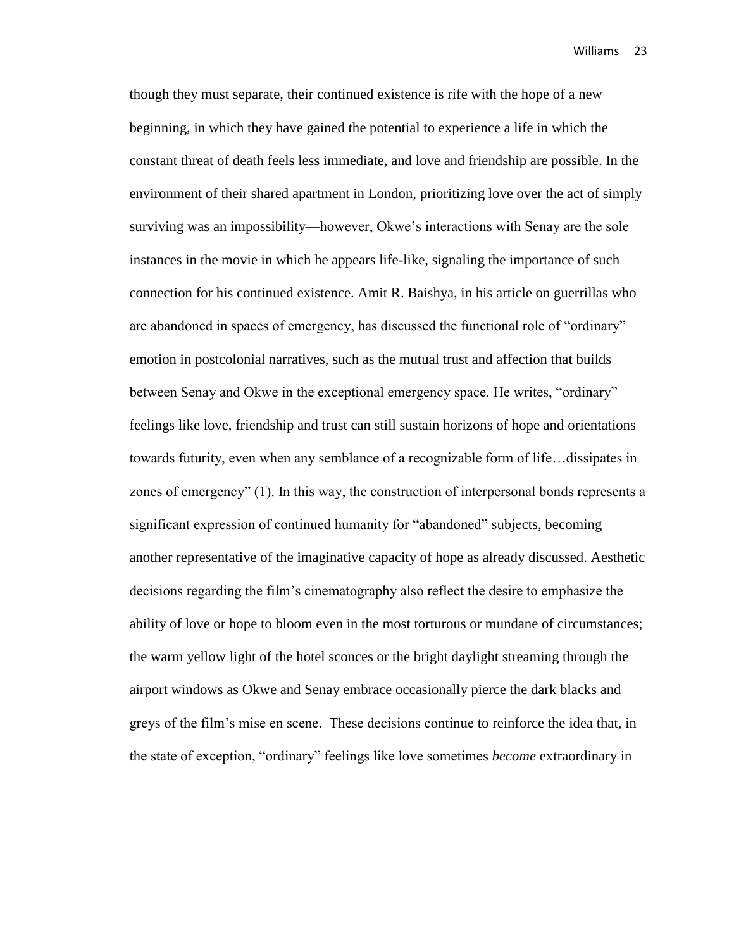though they must separate, their continued existence is rife with the hope of a new beginning, in which they have gained the potential to experience a life in which the constant threat of death feels less immediate, and love and friendship are possible. In the environment of their shared apartment in London, prioritizing love over the act of simply surviving was an impossibility—however, Okwe's interactions with Senay are the sole instances in the movie in which he appears life-like, signaling the importance of such connection for his continued existence. Amit R. Baishya, in his article on guerrillas who are abandoned in spaces of emergency, has discussed the functional role of "ordinary" emotion in postcolonial narratives, such as the mutual trust and affection that builds between Senay and Okwe in the exceptional emergency space. He writes, "ordinary" feelings like love, friendship and trust can still sustain horizons of hope and orientations towards futurity, even when any semblance of a recognizable form of life…dissipates in zones of emergency" (1). In this way, the construction of interpersonal bonds represents a significant expression of continued humanity for "abandoned" subjects, becoming another representative of the imaginative capacity of hope as already discussed. Aesthetic decisions regarding the film's cinematography also reflect the desire to emphasize the ability of love or hope to bloom even in the most torturous or mundane of circumstances; the warm yellow light of the hotel sconces or the bright daylight streaming through the airport windows as Okwe and Senay embrace occasionally pierce the dark blacks and greys of the film's mise en scene. These decisions continue to reinforce the idea that, in the state of exception, "ordinary" feelings like love sometimes *become* extraordinary in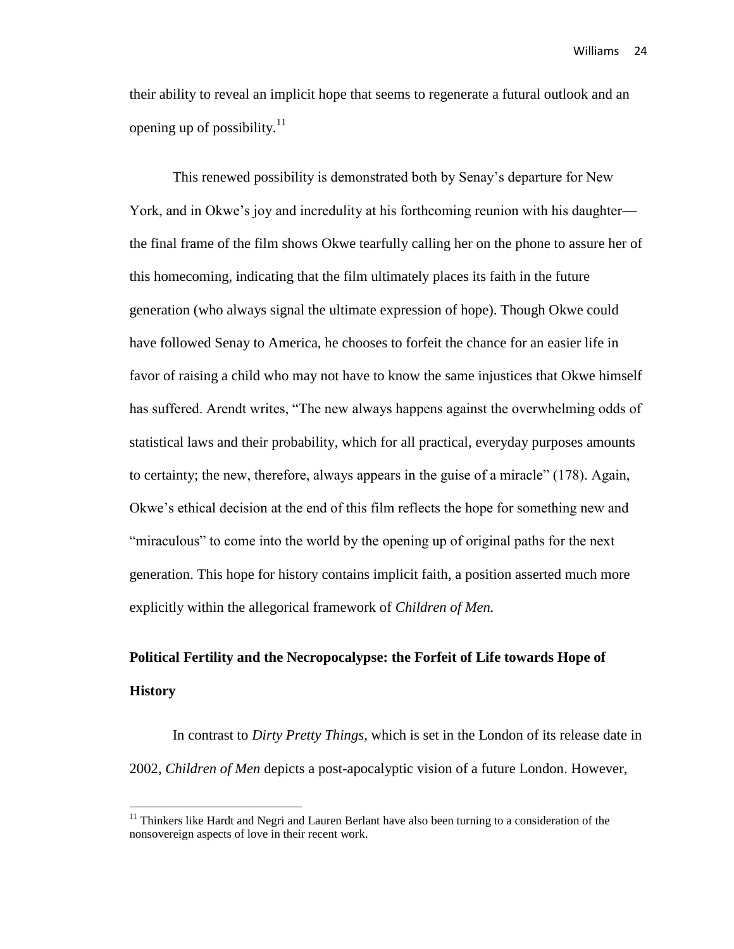their ability to reveal an implicit hope that seems to regenerate a futural outlook and an opening up of possibility. $11$ 

This renewed possibility is demonstrated both by Senay's departure for New York, and in Okwe's joy and incredulity at his forthcoming reunion with his daughter the final frame of the film shows Okwe tearfully calling her on the phone to assure her of this homecoming, indicating that the film ultimately places its faith in the future generation (who always signal the ultimate expression of hope). Though Okwe could have followed Senay to America, he chooses to forfeit the chance for an easier life in favor of raising a child who may not have to know the same injustices that Okwe himself has suffered. Arendt writes, "The new always happens against the overwhelming odds of statistical laws and their probability, which for all practical, everyday purposes amounts to certainty; the new, therefore, always appears in the guise of a miracle" (178). Again, Okwe's ethical decision at the end of this film reflects the hope for something new and "miraculous" to come into the world by the opening up of original paths for the next generation. This hope for history contains implicit faith, a position asserted much more explicitly within the allegorical framework of *Children of Men.*

# **Political Fertility and the Necropocalypse: the Forfeit of Life towards Hope of History**

In contrast to *Dirty Pretty Things*, which is set in the London of its release date in 2002, *Children of Men* depicts a post-apocalyptic vision of a future London. However,

<sup>&</sup>lt;sup>11</sup> Thinkers like Hardt and Negri and Lauren Berlant have also been turning to a consideration of the nonsovereign aspects of love in their recent work.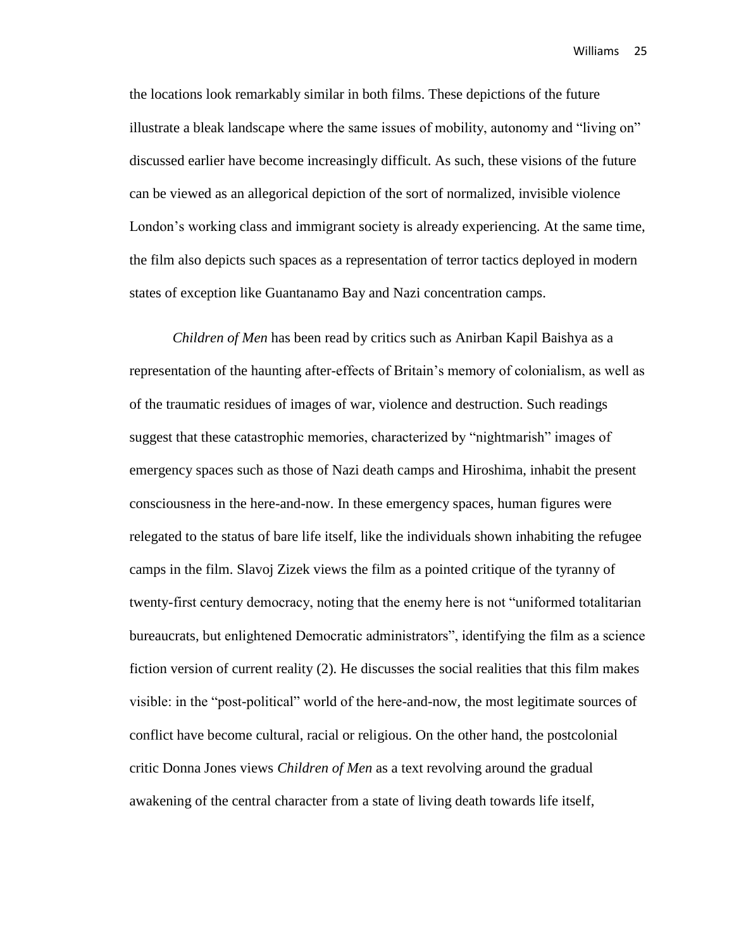the locations look remarkably similar in both films. These depictions of the future illustrate a bleak landscape where the same issues of mobility, autonomy and "living on" discussed earlier have become increasingly difficult. As such, these visions of the future can be viewed as an allegorical depiction of the sort of normalized, invisible violence London's working class and immigrant society is already experiencing. At the same time, the film also depicts such spaces as a representation of terror tactics deployed in modern states of exception like Guantanamo Bay and Nazi concentration camps.

*Children of Men* has been read by critics such as Anirban Kapil Baishya as a representation of the haunting after-effects of Britain's memory of colonialism, as well as of the traumatic residues of images of war, violence and destruction. Such readings suggest that these catastrophic memories, characterized by "nightmarish" images of emergency spaces such as those of Nazi death camps and Hiroshima, inhabit the present consciousness in the here-and-now. In these emergency spaces, human figures were relegated to the status of bare life itself, like the individuals shown inhabiting the refugee camps in the film. Slavoj Zizek views the film as a pointed critique of the tyranny of twenty-first century democracy, noting that the enemy here is not "uniformed totalitarian bureaucrats, but enlightened Democratic administrators", identifying the film as a science fiction version of current reality (2). He discusses the social realities that this film makes visible: in the "post-political" world of the here-and-now, the most legitimate sources of conflict have become cultural, racial or religious. On the other hand, the postcolonial critic Donna Jones views *Children of Men* as a text revolving around the gradual awakening of the central character from a state of living death towards life itself,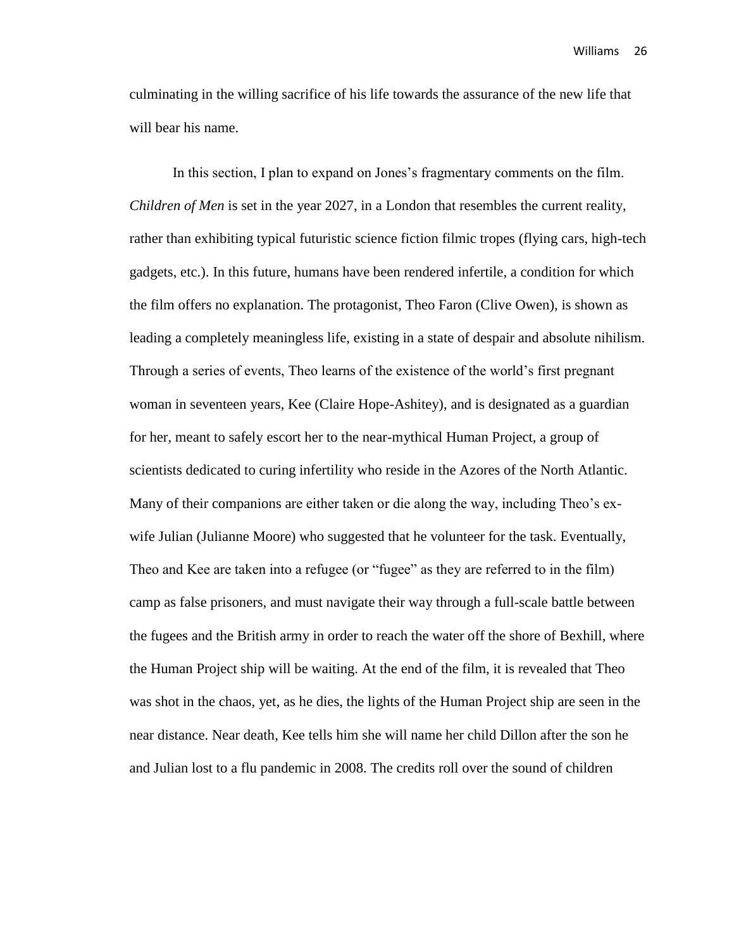culminating in the willing sacrifice of his life towards the assurance of the new life that will bear his name.

In this section, I plan to expand on Jones's fragmentary comments on the film. *Children of Men* is set in the year 2027, in a London that resembles the current reality, rather than exhibiting typical futuristic science fiction filmic tropes (flying cars, high-tech gadgets, etc.). In this future, humans have been rendered infertile, a condition for which the film offers no explanation. The protagonist, Theo Faron (Clive Owen), is shown as leading a completely meaningless life, existing in a state of despair and absolute nihilism. Through a series of events, Theo learns of the existence of the world's first pregnant woman in seventeen years, Kee (Claire Hope-Ashitey), and is designated as a guardian for her, meant to safely escort her to the near-mythical Human Project, a group of scientists dedicated to curing infertility who reside in the Azores of the North Atlantic. Many of their companions are either taken or die along the way, including Theo's exwife Julian (Julianne Moore) who suggested that he volunteer for the task. Eventually, Theo and Kee are taken into a refugee (or "fugee" as they are referred to in the film) camp as false prisoners, and must navigate their way through a full-scale battle between the fugees and the British army in order to reach the water off the shore of Bexhill, where the Human Project ship will be waiting. At the end of the film, it is revealed that Theo was shot in the chaos, yet, as he dies, the lights of the Human Project ship are seen in the near distance. Near death, Kee tells him she will name her child Dillon after the son he and Julian lost to a flu pandemic in 2008. The credits roll over the sound of children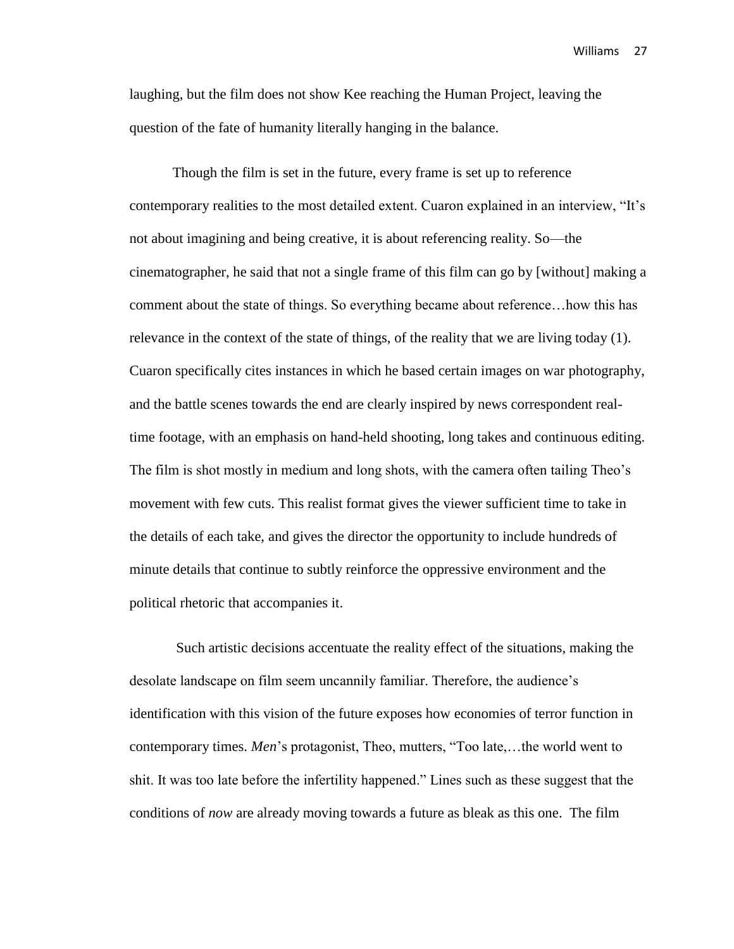laughing, but the film does not show Kee reaching the Human Project, leaving the question of the fate of humanity literally hanging in the balance.

Though the film is set in the future, every frame is set up to reference contemporary realities to the most detailed extent. Cuaron explained in an interview, "It's not about imagining and being creative, it is about referencing reality. So—the cinematographer, he said that not a single frame of this film can go by [without] making a comment about the state of things. So everything became about reference…how this has relevance in the context of the state of things, of the reality that we are living today (1). Cuaron specifically cites instances in which he based certain images on war photography, and the battle scenes towards the end are clearly inspired by news correspondent realtime footage, with an emphasis on hand-held shooting, long takes and continuous editing. The film is shot mostly in medium and long shots, with the camera often tailing Theo's movement with few cuts. This realist format gives the viewer sufficient time to take in the details of each take, and gives the director the opportunity to include hundreds of minute details that continue to subtly reinforce the oppressive environment and the political rhetoric that accompanies it.

Such artistic decisions accentuate the reality effect of the situations, making the desolate landscape on film seem uncannily familiar. Therefore, the audience's identification with this vision of the future exposes how economies of terror function in contemporary times. *Men*'s protagonist, Theo, mutters, "Too late,…the world went to shit. It was too late before the infertility happened." Lines such as these suggest that the conditions of *now* are already moving towards a future as bleak as this one. The film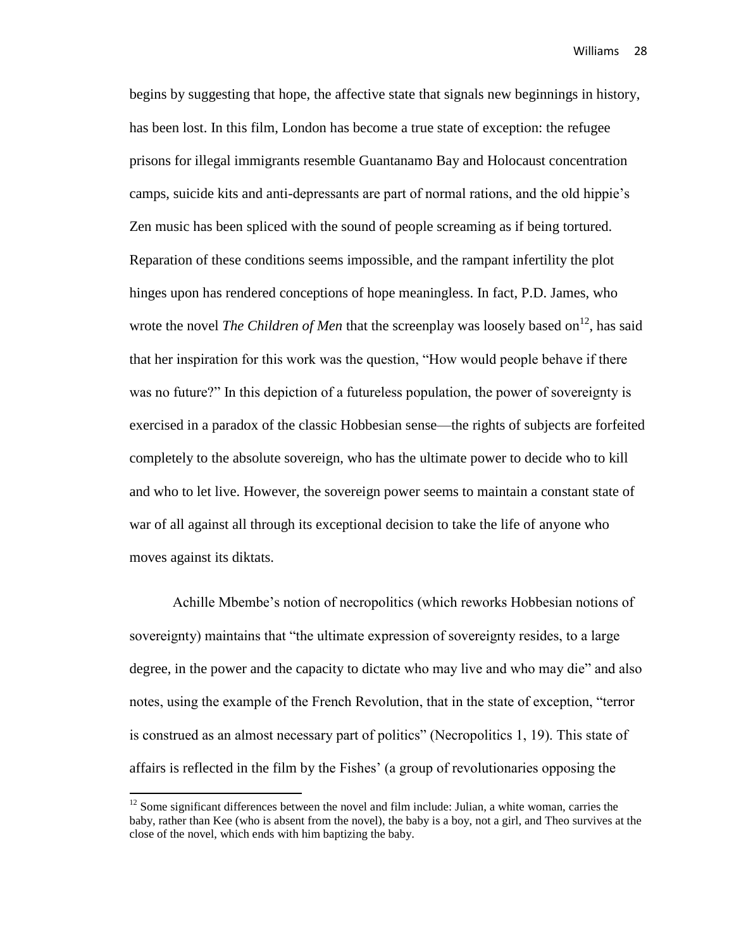begins by suggesting that hope, the affective state that signals new beginnings in history, has been lost. In this film, London has become a true state of exception: the refugee prisons for illegal immigrants resemble Guantanamo Bay and Holocaust concentration camps, suicide kits and anti-depressants are part of normal rations, and the old hippie's Zen music has been spliced with the sound of people screaming as if being tortured. Reparation of these conditions seems impossible, and the rampant infertility the plot hinges upon has rendered conceptions of hope meaningless. In fact, P.D. James, who wrote the novel *The Children of Men* that the screenplay was loosely based on<sup>12</sup>, has said that her inspiration for this work was the question, "How would people behave if there was no future?" In this depiction of a futureless population, the power of sovereignty is exercised in a paradox of the classic Hobbesian sense—the rights of subjects are forfeited completely to the absolute sovereign, who has the ultimate power to decide who to kill and who to let live. However, the sovereign power seems to maintain a constant state of war of all against all through its exceptional decision to take the life of anyone who moves against its diktats.

Achille Mbembe's notion of necropolitics (which reworks Hobbesian notions of sovereignty) maintains that "the ultimate expression of sovereignty resides, to a large degree, in the power and the capacity to dictate who may live and who may die" and also notes, using the example of the French Revolution, that in the state of exception, "terror is construed as an almost necessary part of politics" (Necropolitics 1, 19). This state of affairs is reflected in the film by the Fishes' (a group of revolutionaries opposing the

 $12$  Some significant differences between the novel and film include: Julian, a white woman, carries the baby, rather than Kee (who is absent from the novel), the baby is a boy, not a girl, and Theo survives at the close of the novel, which ends with him baptizing the baby.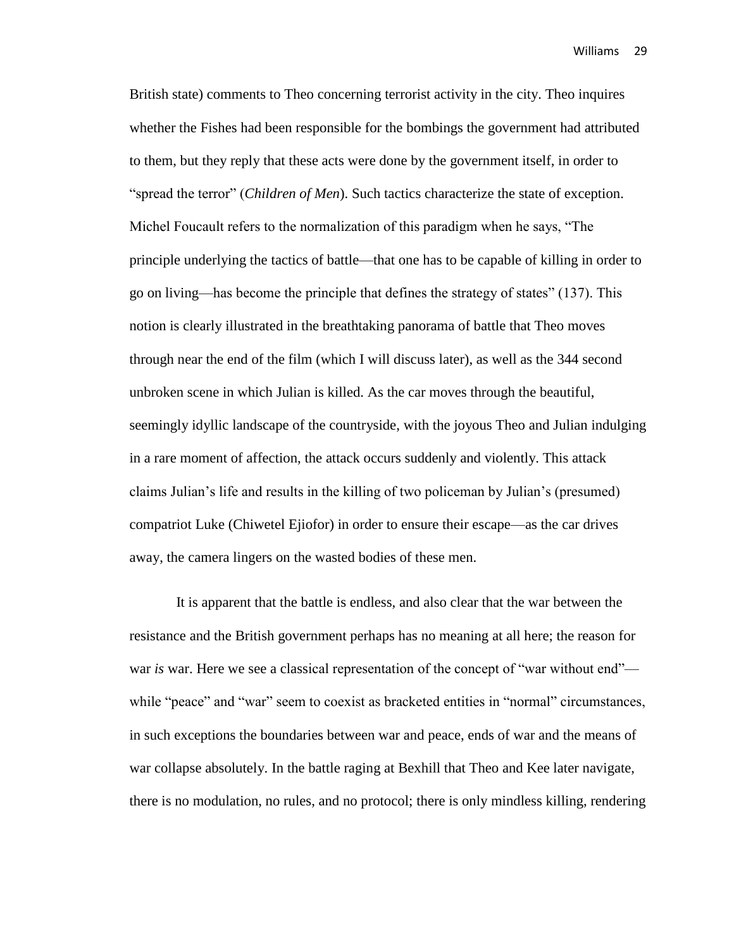British state) comments to Theo concerning terrorist activity in the city. Theo inquires whether the Fishes had been responsible for the bombings the government had attributed to them, but they reply that these acts were done by the government itself, in order to "spread the terror" (*Children of Men*). Such tactics characterize the state of exception. Michel Foucault refers to the normalization of this paradigm when he says, "The principle underlying the tactics of battle—that one has to be capable of killing in order to go on living—has become the principle that defines the strategy of states" (137). This notion is clearly illustrated in the breathtaking panorama of battle that Theo moves through near the end of the film (which I will discuss later), as well as the 344 second unbroken scene in which Julian is killed. As the car moves through the beautiful, seemingly idyllic landscape of the countryside, with the joyous Theo and Julian indulging in a rare moment of affection, the attack occurs suddenly and violently. This attack claims Julian's life and results in the killing of two policeman by Julian's (presumed) compatriot Luke (Chiwetel Ejiofor) in order to ensure their escape—as the car drives away, the camera lingers on the wasted bodies of these men.

It is apparent that the battle is endless, and also clear that the war between the resistance and the British government perhaps has no meaning at all here; the reason for war *is* war. Here we see a classical representation of the concept of "war without end" while "peace" and "war" seem to coexist as bracketed entities in "normal" circumstances, in such exceptions the boundaries between war and peace, ends of war and the means of war collapse absolutely. In the battle raging at Bexhill that Theo and Kee later navigate, there is no modulation, no rules, and no protocol; there is only mindless killing, rendering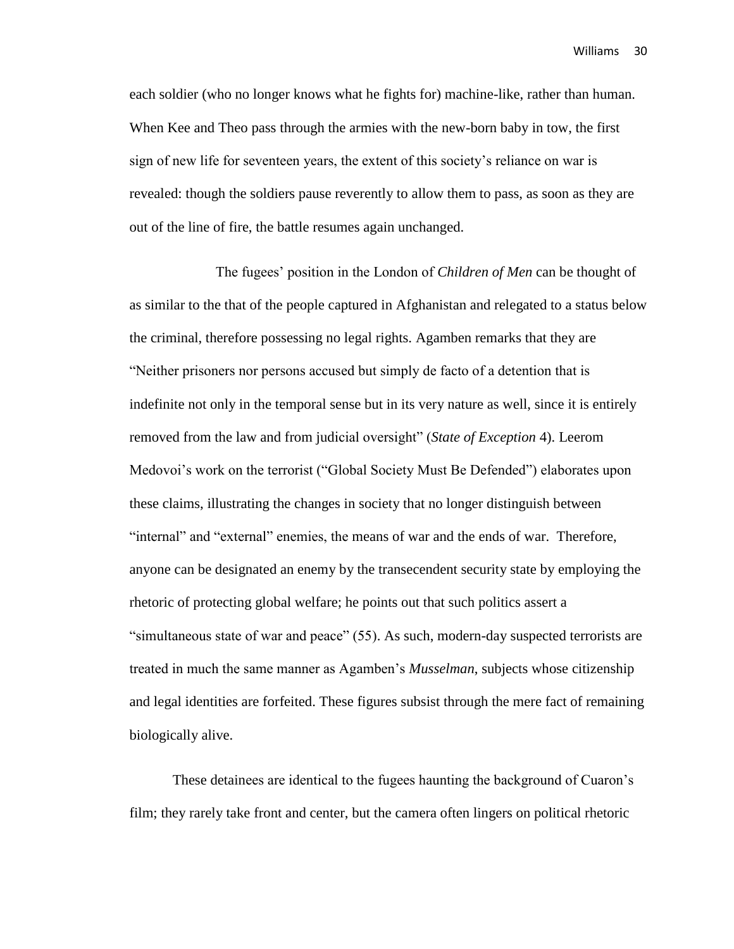each soldier (who no longer knows what he fights for) machine-like, rather than human. When Kee and Theo pass through the armies with the new-born baby in tow, the first sign of new life for seventeen years, the extent of this society's reliance on war is revealed: though the soldiers pause reverently to allow them to pass, as soon as they are out of the line of fire, the battle resumes again unchanged.

The fugees' position in the London of *Children of Men* can be thought of as similar to the that of the people captured in Afghanistan and relegated to a status below the criminal, therefore possessing no legal rights. Agamben remarks that they are "Neither prisoners nor persons accused but simply de facto of a detention that is indefinite not only in the temporal sense but in its very nature as well, since it is entirely removed from the law and from judicial oversight" (*State of Exception* 4). Leerom Medovoi's work on the terrorist ("Global Society Must Be Defended") elaborates upon these claims, illustrating the changes in society that no longer distinguish between "internal" and "external" enemies, the means of war and the ends of war. Therefore, anyone can be designated an enemy by the transecendent security state by employing the rhetoric of protecting global welfare; he points out that such politics assert a "simultaneous state of war and peace" (55). As such, modern-day suspected terrorists are treated in much the same manner as Agamben's *Musselman*, subjects whose citizenship and legal identities are forfeited. These figures subsist through the mere fact of remaining biologically alive.

These detainees are identical to the fugees haunting the background of Cuaron's film; they rarely take front and center, but the camera often lingers on political rhetoric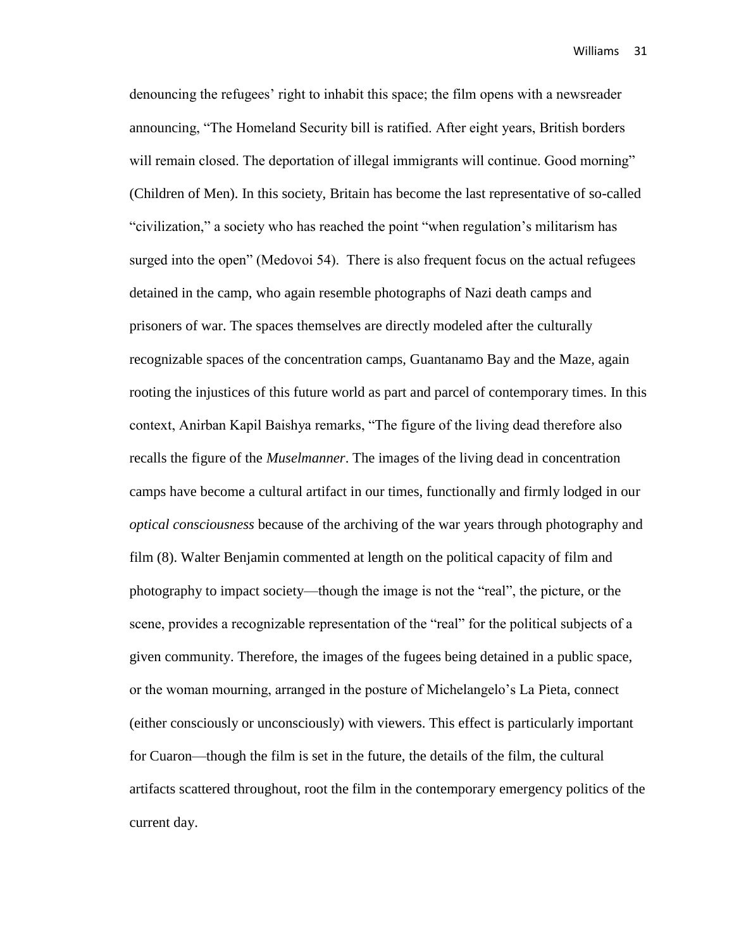denouncing the refugees' right to inhabit this space; the film opens with a newsreader announcing, "The Homeland Security bill is ratified. After eight years, British borders will remain closed. The deportation of illegal immigrants will continue. Good morning" (Children of Men). In this society, Britain has become the last representative of so-called "civilization," a society who has reached the point "when regulation's militarism has surged into the open" (Medovoi 54). There is also frequent focus on the actual refugees detained in the camp, who again resemble photographs of Nazi death camps and prisoners of war. The spaces themselves are directly modeled after the culturally recognizable spaces of the concentration camps, Guantanamo Bay and the Maze, again rooting the injustices of this future world as part and parcel of contemporary times. In this context, Anirban Kapil Baishya remarks, "The figure of the living dead therefore also recalls the figure of the *Muselmanner*. The images of the living dead in concentration camps have become a cultural artifact in our times, functionally and firmly lodged in our *optical consciousness* because of the archiving of the war years through photography and film (8). Walter Benjamin commented at length on the political capacity of film and photography to impact society—though the image is not the "real", the picture, or the scene, provides a recognizable representation of the "real" for the political subjects of a given community. Therefore, the images of the fugees being detained in a public space, or the woman mourning, arranged in the posture of Michelangelo's La Pieta, connect (either consciously or unconsciously) with viewers. This effect is particularly important for Cuaron—though the film is set in the future, the details of the film, the cultural artifacts scattered throughout, root the film in the contemporary emergency politics of the current day.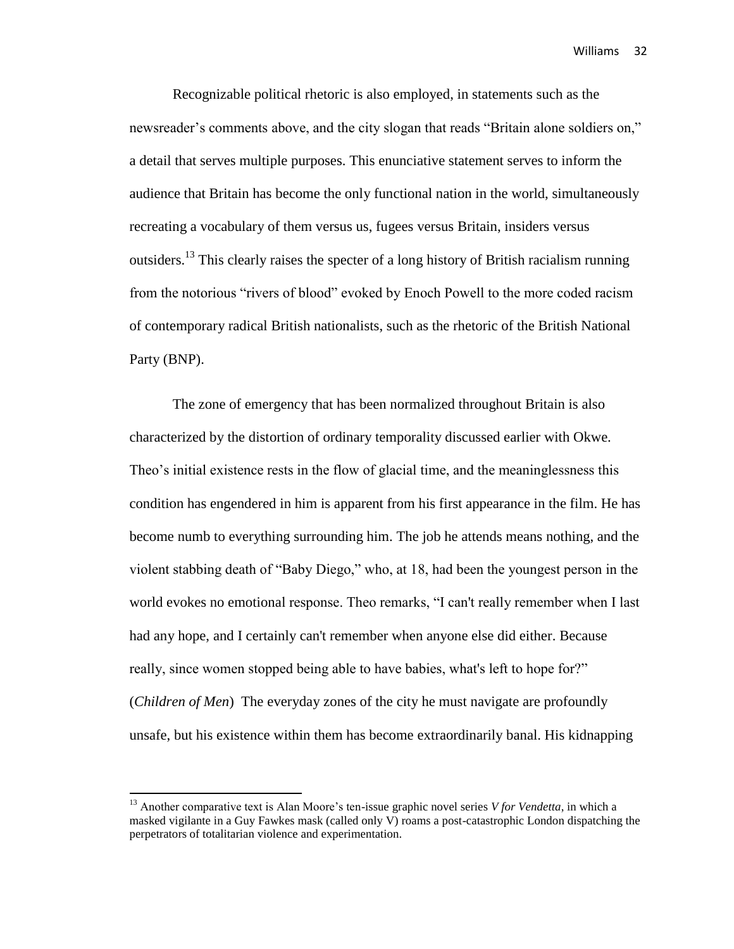Recognizable political rhetoric is also employed, in statements such as the newsreader's comments above, and the city slogan that reads "Britain alone soldiers on," a detail that serves multiple purposes. This enunciative statement serves to inform the audience that Britain has become the only functional nation in the world, simultaneously recreating a vocabulary of them versus us, fugees versus Britain, insiders versus outsiders.<sup>13</sup> This clearly raises the specter of a long history of British racialism running from the notorious "rivers of blood" evoked by Enoch Powell to the more coded racism of contemporary radical British nationalists, such as the rhetoric of the British National Party (BNP).

The zone of emergency that has been normalized throughout Britain is also characterized by the distortion of ordinary temporality discussed earlier with Okwe. Theo's initial existence rests in the flow of glacial time, and the meaninglessness this condition has engendered in him is apparent from his first appearance in the film. He has become numb to everything surrounding him. The job he attends means nothing, and the violent stabbing death of "Baby Diego," who, at 18, had been the youngest person in the world evokes no emotional response. Theo remarks, "I can't really remember when I last had any hope, and I certainly can't remember when anyone else did either. Because really, since women stopped being able to have babies, what's left to hope for?" (*Children of Men*) The everyday zones of the city he must navigate are profoundly unsafe, but his existence within them has become extraordinarily banal. His kidnapping

<sup>&</sup>lt;sup>13</sup> Another comparative text is Alan Moore's ten-issue graphic novel series *V for Vendetta*, in which a masked vigilante in a Guy Fawkes mask (called only V) roams a post-catastrophic London dispatching the perpetrators of totalitarian violence and experimentation.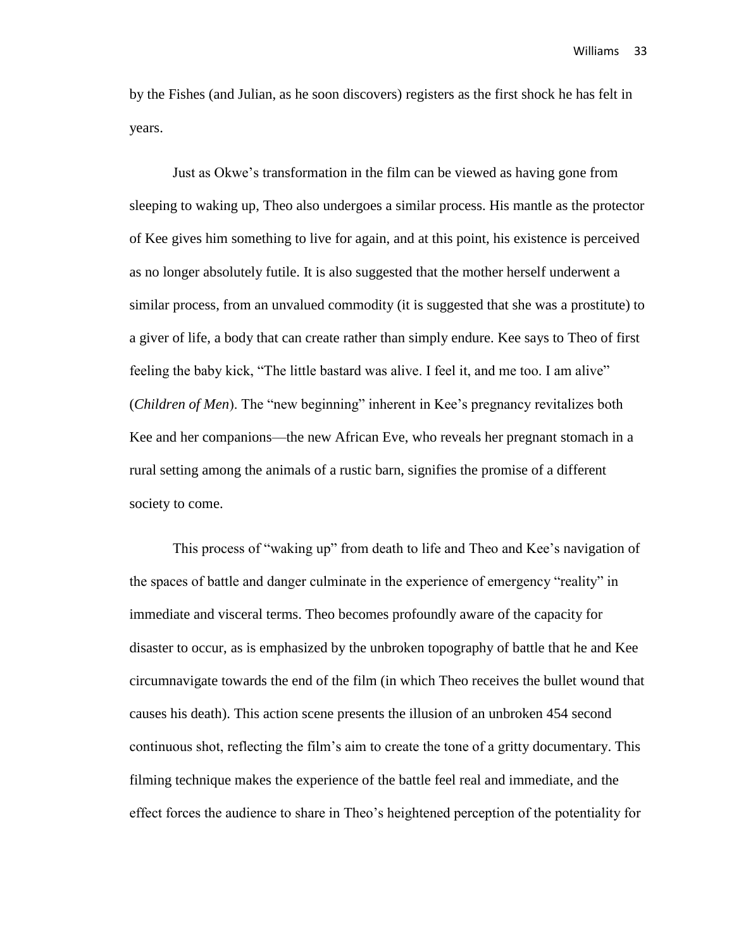by the Fishes (and Julian, as he soon discovers) registers as the first shock he has felt in years.

Just as Okwe's transformation in the film can be viewed as having gone from sleeping to waking up, Theo also undergoes a similar process. His mantle as the protector of Kee gives him something to live for again, and at this point, his existence is perceived as no longer absolutely futile. It is also suggested that the mother herself underwent a similar process, from an unvalued commodity (it is suggested that she was a prostitute) to a giver of life, a body that can create rather than simply endure. Kee says to Theo of first feeling the baby kick, "The little bastard was alive. I feel it, and me too. I am alive" (*Children of Men*). The "new beginning" inherent in Kee's pregnancy revitalizes both Kee and her companions—the new African Eve, who reveals her pregnant stomach in a rural setting among the animals of a rustic barn, signifies the promise of a different society to come.

This process of "waking up" from death to life and Theo and Kee's navigation of the spaces of battle and danger culminate in the experience of emergency "reality" in immediate and visceral terms. Theo becomes profoundly aware of the capacity for disaster to occur, as is emphasized by the unbroken topography of battle that he and Kee circumnavigate towards the end of the film (in which Theo receives the bullet wound that causes his death). This action scene presents the illusion of an unbroken 454 second continuous shot, reflecting the film's aim to create the tone of a gritty documentary. This filming technique makes the experience of the battle feel real and immediate, and the effect forces the audience to share in Theo's heightened perception of the potentiality for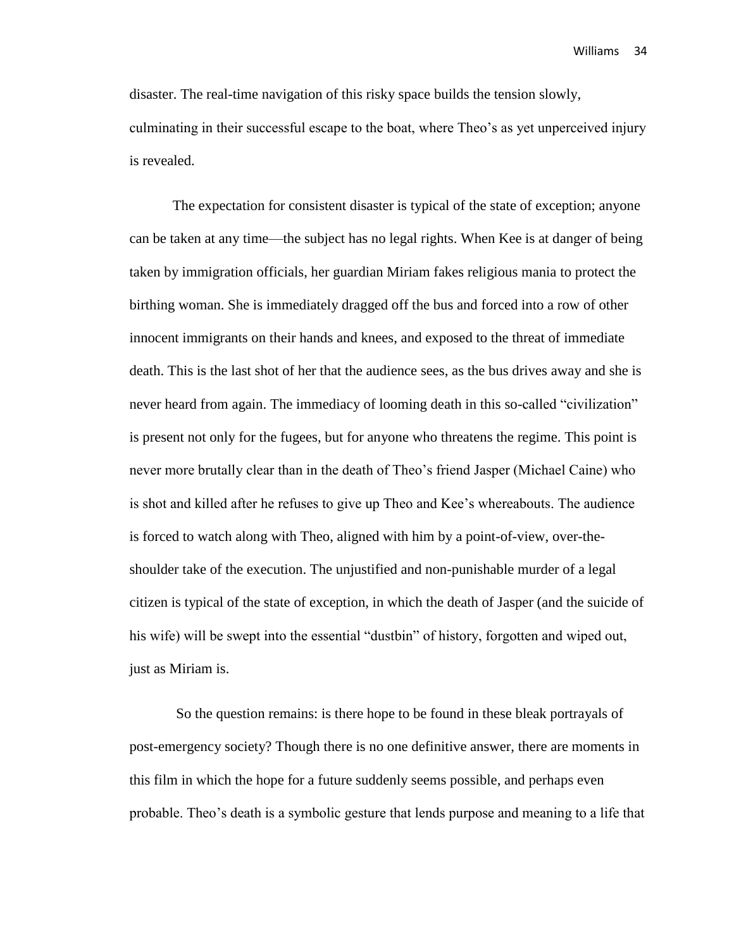disaster. The real-time navigation of this risky space builds the tension slowly, culminating in their successful escape to the boat, where Theo's as yet unperceived injury is revealed.

The expectation for consistent disaster is typical of the state of exception; anyone can be taken at any time—the subject has no legal rights. When Kee is at danger of being taken by immigration officials, her guardian Miriam fakes religious mania to protect the birthing woman. She is immediately dragged off the bus and forced into a row of other innocent immigrants on their hands and knees, and exposed to the threat of immediate death. This is the last shot of her that the audience sees, as the bus drives away and she is never heard from again. The immediacy of looming death in this so-called "civilization" is present not only for the fugees, but for anyone who threatens the regime. This point is never more brutally clear than in the death of Theo's friend Jasper (Michael Caine) who is shot and killed after he refuses to give up Theo and Kee's whereabouts. The audience is forced to watch along with Theo, aligned with him by a point-of-view, over-theshoulder take of the execution. The unjustified and non-punishable murder of a legal citizen is typical of the state of exception, in which the death of Jasper (and the suicide of his wife) will be swept into the essential "dustbin" of history, forgotten and wiped out, just as Miriam is.

So the question remains: is there hope to be found in these bleak portrayals of post-emergency society? Though there is no one definitive answer, there are moments in this film in which the hope for a future suddenly seems possible, and perhaps even probable. Theo's death is a symbolic gesture that lends purpose and meaning to a life that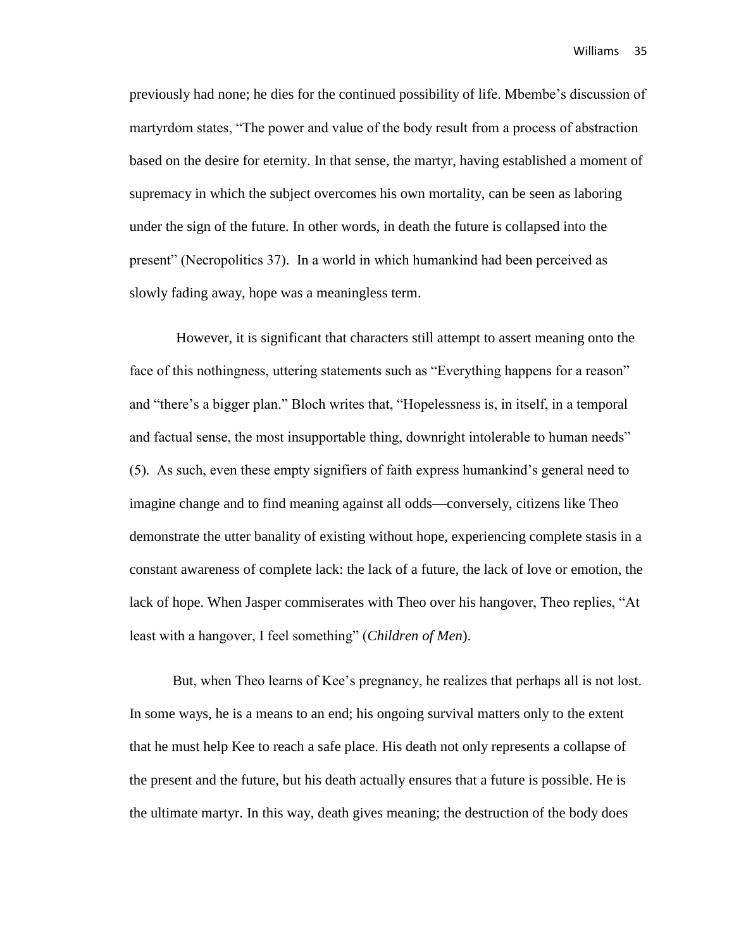previously had none; he dies for the continued possibility of life. Mbembe's discussion of martyrdom states, "The power and value of the body result from a process of abstraction based on the desire for eternity. In that sense, the martyr, having established a moment of supremacy in which the subject overcomes his own mortality, can be seen as laboring under the sign of the future. In other words, in death the future is collapsed into the present" (Necropolitics 37). In a world in which humankind had been perceived as slowly fading away, hope was a meaningless term.

However, it is significant that characters still attempt to assert meaning onto the face of this nothingness, uttering statements such as "Everything happens for a reason" and "there's a bigger plan." Bloch writes that, "Hopelessness is, in itself, in a temporal and factual sense, the most insupportable thing, downright intolerable to human needs" (5). As such, even these empty signifiers of faith express humankind's general need to imagine change and to find meaning against all odds—conversely, citizens like Theo demonstrate the utter banality of existing without hope, experiencing complete stasis in a constant awareness of complete lack: the lack of a future, the lack of love or emotion, the lack of hope. When Jasper commiserates with Theo over his hangover, Theo replies, "At least with a hangover, I feel something" (*Children of Men*).

But, when Theo learns of Kee's pregnancy, he realizes that perhaps all is not lost. In some ways, he is a means to an end; his ongoing survival matters only to the extent that he must help Kee to reach a safe place. His death not only represents a collapse of the present and the future, but his death actually ensures that a future is possible. He is the ultimate martyr. In this way, death gives meaning; the destruction of the body does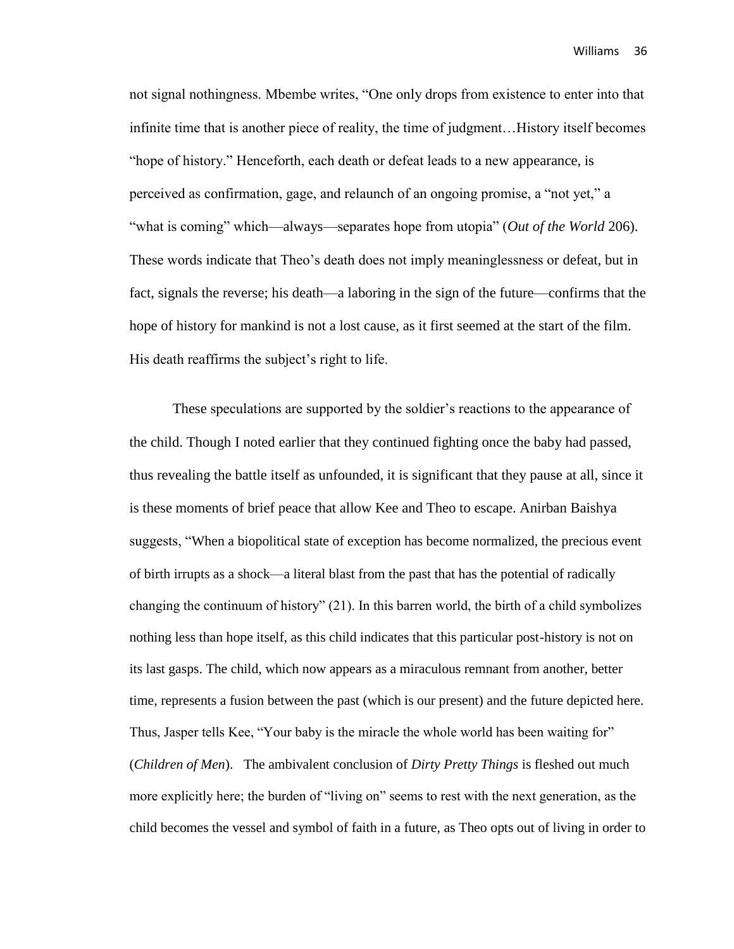not signal nothingness. Mbembe writes, "One only drops from existence to enter into that infinite time that is another piece of reality, the time of judgment…History itself becomes "hope of history." Henceforth, each death or defeat leads to a new appearance, is perceived as confirmation, gage, and relaunch of an ongoing promise, a "not yet," a "what is coming" which—always—separates hope from utopia" (*Out of the World* 206). These words indicate that Theo's death does not imply meaninglessness or defeat, but in fact, signals the reverse; his death—a laboring in the sign of the future—confirms that the hope of history for mankind is not a lost cause, as it first seemed at the start of the film. His death reaffirms the subject's right to life.

These speculations are supported by the soldier's reactions to the appearance of the child. Though I noted earlier that they continued fighting once the baby had passed, thus revealing the battle itself as unfounded, it is significant that they pause at all, since it is these moments of brief peace that allow Kee and Theo to escape. Anirban Baishya suggests, "When a biopolitical state of exception has become normalized, the precious event of birth irrupts as a shock—a literal blast from the past that has the potential of radically changing the continuum of history" (21). In this barren world, the birth of a child symbolizes nothing less than hope itself, as this child indicates that this particular post-history is not on its last gasps. The child, which now appears as a miraculous remnant from another, better time, represents a fusion between the past (which is our present) and the future depicted here. Thus, Jasper tells Kee, "Your baby is the miracle the whole world has been waiting for" (*Children of Men*). The ambivalent conclusion of *Dirty Pretty Things* is fleshed out much more explicitly here; the burden of "living on" seems to rest with the next generation, as the child becomes the vessel and symbol of faith in a future, as Theo opts out of living in order to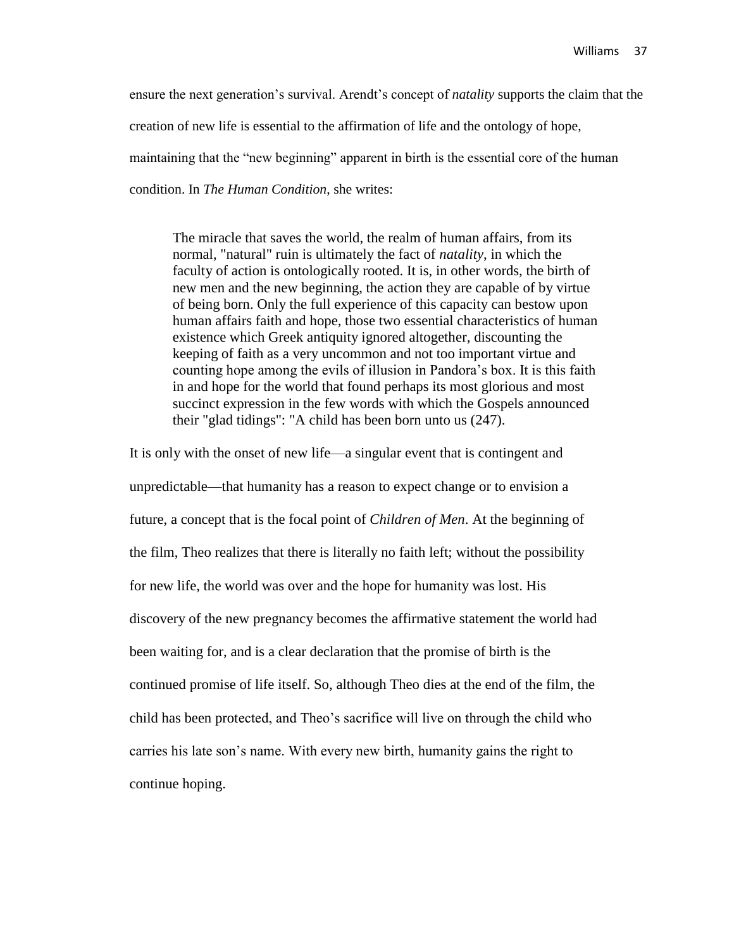ensure the next generation's survival. Arendt's concept of *natality* supports the claim that the creation of new life is essential to the affirmation of life and the ontology of hope, maintaining that the "new beginning" apparent in birth is the essential core of the human condition. In *The Human Condition*, she writes:

The miracle that saves the world, the realm of human affairs, from its normal, "natural" ruin is ultimately the fact of *natality*, in which the faculty of action is ontologically rooted. It is, in other words, the birth of new men and the new beginning, the action they are capable of by virtue of being born. Only the full experience of this capacity can bestow upon human affairs faith and hope, those two essential characteristics of human existence which Greek antiquity ignored altogether, discounting the keeping of faith as a very uncommon and not too important virtue and counting hope among the evils of illusion in Pandora's box. It is this faith in and hope for the world that found perhaps its most glorious and most succinct expression in the few words with which the Gospels announced their "glad tidings": "A child has been born unto us (247).

It is only with the onset of new life—a singular event that is contingent and unpredictable—that humanity has a reason to expect change or to envision a future, a concept that is the focal point of *Children of Men*. At the beginning of the film, Theo realizes that there is literally no faith left; without the possibility for new life, the world was over and the hope for humanity was lost. His discovery of the new pregnancy becomes the affirmative statement the world had been waiting for, and is a clear declaration that the promise of birth is the continued promise of life itself. So, although Theo dies at the end of the film, the child has been protected, and Theo's sacrifice will live on through the child who carries his late son's name. With every new birth, humanity gains the right to continue hoping.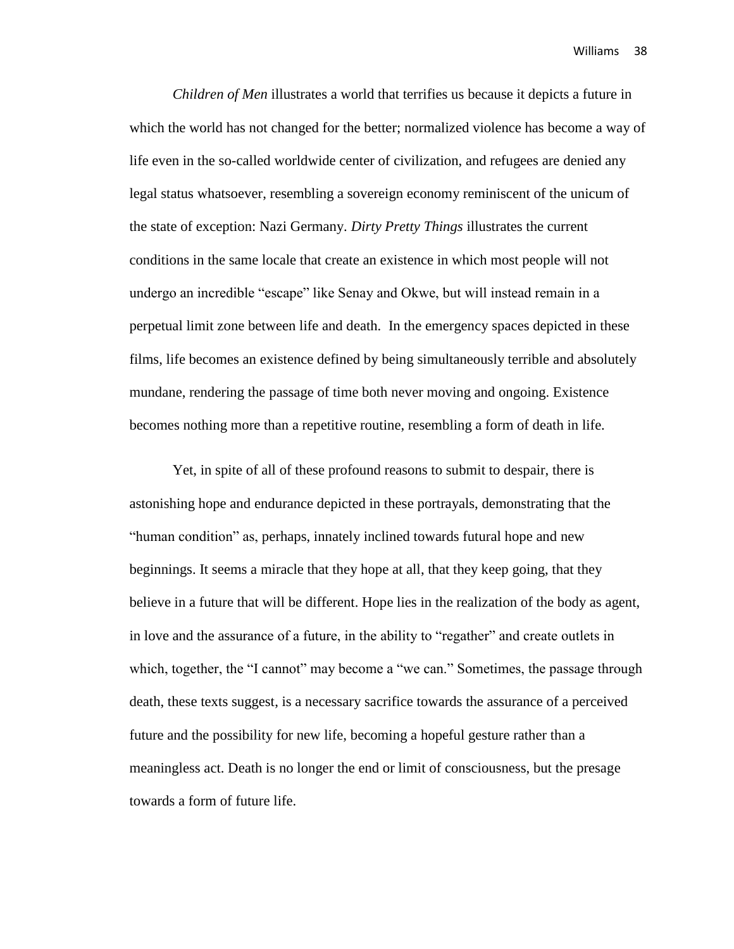*Children of Men* illustrates a world that terrifies us because it depicts a future in which the world has not changed for the better; normalized violence has become a way of life even in the so-called worldwide center of civilization, and refugees are denied any legal status whatsoever, resembling a sovereign economy reminiscent of the unicum of the state of exception: Nazi Germany. *Dirty Pretty Things* illustrates the current conditions in the same locale that create an existence in which most people will not undergo an incredible "escape" like Senay and Okwe, but will instead remain in a perpetual limit zone between life and death. In the emergency spaces depicted in these films, life becomes an existence defined by being simultaneously terrible and absolutely mundane, rendering the passage of time both never moving and ongoing. Existence becomes nothing more than a repetitive routine, resembling a form of death in life.

Yet, in spite of all of these profound reasons to submit to despair, there is astonishing hope and endurance depicted in these portrayals, demonstrating that the "human condition" as, perhaps, innately inclined towards futural hope and new beginnings. It seems a miracle that they hope at all, that they keep going, that they believe in a future that will be different. Hope lies in the realization of the body as agent, in love and the assurance of a future, in the ability to "regather" and create outlets in which, together, the "I cannot" may become a "we can." Sometimes, the passage through death, these texts suggest, is a necessary sacrifice towards the assurance of a perceived future and the possibility for new life, becoming a hopeful gesture rather than a meaningless act. Death is no longer the end or limit of consciousness, but the presage towards a form of future life.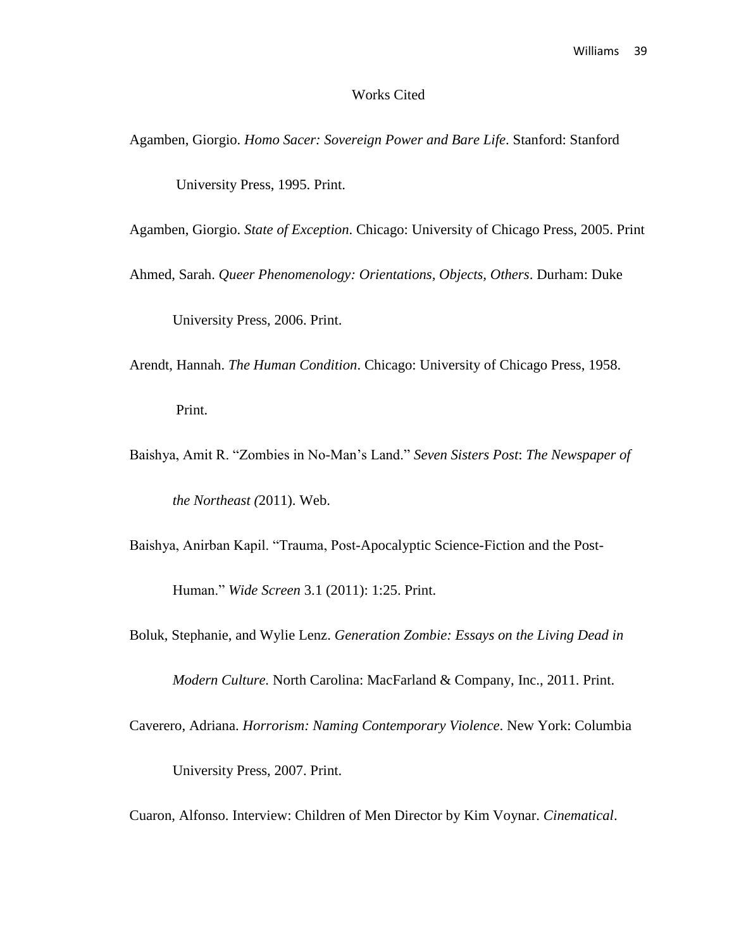#### Works Cited

Agamben, Giorgio. *Homo Sacer: Sovereign Power and Bare Life*. Stanford: Stanford

University Press, 1995. Print.

Agamben, Giorgio. *State of Exception*. Chicago: University of Chicago Press, 2005. Print

Ahmed, Sarah. *Queer Phenomenology: Orientations, Objects, Others*. Durham: Duke

University Press, 2006. Print.

Arendt, Hannah. *The Human Condition*. Chicago: University of Chicago Press, 1958.

Print.

Baishya, Amit R. "Zombies in No-Man's Land." *Seven Sisters Post*: *The Newspaper of the Northeast (*2011). Web.

Baishya, Anirban Kapil. "Trauma, Post-Apocalyptic Science-Fiction and the Post-

Human." *Wide Screen* 3.1 (2011): 1:25. Print.

Boluk, Stephanie, and Wylie Lenz. *Generation Zombie: Essays on the Living Dead in* 

*Modern Culture.* North Carolina: MacFarland & Company, Inc., 2011. Print.

Caverero, Adriana. *Horrorism: Naming Contemporary Violence*. New York: Columbia

University Press, 2007. Print.

Cuaron, Alfonso. Interview: Children of Men Director by Kim Voynar. *Cinematical*.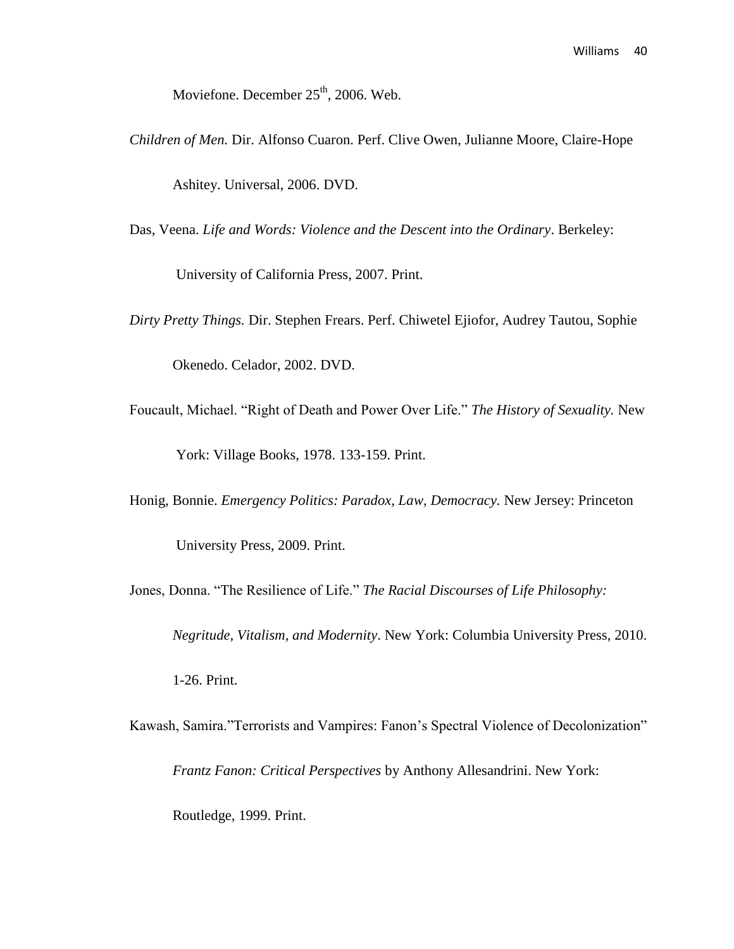Moviefone. December  $25<sup>th</sup>$ , 2006. Web.

- *Children of Men.* Dir. Alfonso Cuaron. Perf. Clive Owen, Julianne Moore, Claire-Hope Ashitey. Universal, 2006. DVD.
- Das, Veena. *Life and Words: Violence and the Descent into the Ordinary*. Berkeley:

University of California Press, 2007. Print.

*Dirty Pretty Things.* Dir. Stephen Frears. Perf. Chiwetel Ejiofor, Audrey Tautou, Sophie

Okenedo. Celador, 2002. DVD.

- Foucault, Michael. "Right of Death and Power Over Life." *The History of Sexuality.* New York: Village Books, 1978. 133-159. Print.
- Honig, Bonnie. *Emergency Politics: Paradox, Law, Democracy.* New Jersey: Princeton University Press, 2009. Print.
- Jones, Donna. "The Resilience of Life." *The Racial Discourses of Life Philosophy:*

*Negritude, Vitalism, and Modernity*. New York: Columbia University Press, 2010.

1-26. Print.

Kawash, Samira."Terrorists and Vampires: Fanon's Spectral Violence of Decolonization" *Frantz Fanon: Critical Perspectives* by Anthony Allesandrini. New York: Routledge, 1999. Print.